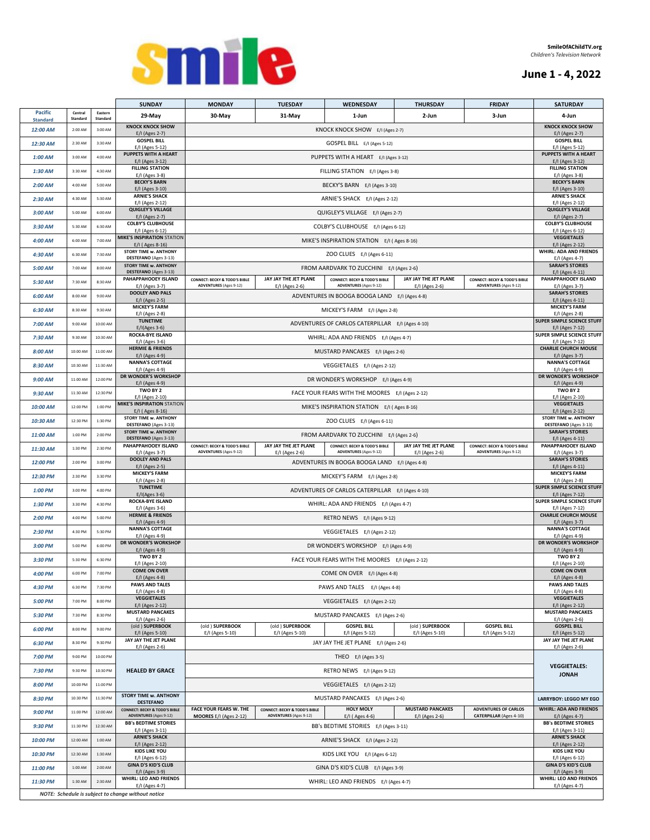### **June 1 - 4, 2022**



|                                                                      |                     |                     | <b>SUNDAY</b>                                                                     | <b>MONDAY</b>                                                                                                                                                                                                                  | <b>TUESDAY</b>                                                             | WEDNESDAY                                                                 | THURSDAY                                  | <b>FRIDAY</b>                                                             | <b>SATURDAY</b>                                                  |  |
|----------------------------------------------------------------------|---------------------|---------------------|-----------------------------------------------------------------------------------|--------------------------------------------------------------------------------------------------------------------------------------------------------------------------------------------------------------------------------|----------------------------------------------------------------------------|---------------------------------------------------------------------------|-------------------------------------------|---------------------------------------------------------------------------|------------------------------------------------------------------|--|
| <b>Pacific</b><br><b>Standard</b>                                    | Central<br>Standard | Eastern<br>Standard | 29-May                                                                            | 30-May                                                                                                                                                                                                                         | 31-May                                                                     | 1-Jun                                                                     | 2-Jun                                     | 3-Jun                                                                     | 4-Jun                                                            |  |
| 12:00 AM                                                             | 2:00 AM             | 3:00 AM             | <b>KNOCK KNOCK SHOW</b><br>E/I (Ages 2-7)                                         |                                                                                                                                                                                                                                |                                                                            | KNOCK KNOCK SHOW E/I (Ages 2-7)                                           |                                           |                                                                           | <b>KNOCK KNOCK SHOW</b><br>E/I (Ages 2-7)                        |  |
| 12:30 AM                                                             | 2:30 AM             | 3:30 AM             | <b>GOSPEL BILL</b><br>E/I (Ages 5-12)                                             |                                                                                                                                                                                                                                |                                                                            | GOSPEL BILL E/I (Ages 5-12)                                               |                                           |                                                                           | <b>GOSPEL BILL</b><br>E/I (Ages 5-12)                            |  |
| 1:00 AM                                                              | 3:00 AM             | 4:00 AM             | <b>PUPPETS WITH A HEART</b><br>E/I (Ages 3-12)                                    |                                                                                                                                                                                                                                |                                                                            | PUPPETS WITH A HEART E/I (Ages 3-12)                                      |                                           |                                                                           | PUPPETS WITH A HEART<br>E/I (Ages 3-12)                          |  |
| $1:30$ AM                                                            | 3:30 AM             | 4:30 AM             | <b>FILLING STATION</b><br>E/I (Ages 3-8)                                          |                                                                                                                                                                                                                                |                                                                            | FILLING STATION E/I (Ages 3-8)                                            |                                           |                                                                           | <b>FILLING STATION</b><br>E/I (Ages 3-8)                         |  |
| $2:00$ AM                                                            | 4:00 AM             | 5:00 AM             | <b>BECKY'S BARN</b><br>E/I (Ages 3-10)                                            |                                                                                                                                                                                                                                |                                                                            | BECKY'S BARN E/I (Ages 3-10)                                              |                                           |                                                                           | <b>BECKY'S BARN</b><br>E/I (Ages 3-10)                           |  |
| 2:30 AM                                                              | 4:30 AM             | 5:30 AM             | <b>ARNIE'S SHACK</b><br>E/I (Ages 2-12)                                           |                                                                                                                                                                                                                                |                                                                            | ARNIE'S SHACK E/I (Ages 2-12)                                             |                                           |                                                                           | <b>ARNIE'S SHACK</b><br>E/I (Ages 2-12)                          |  |
| 3:00 AM                                                              | 5:00 AM             | 6:00 AM             | <b>QUIGLEY'S VILLAGE</b><br>E/I (Ages 2-7)                                        |                                                                                                                                                                                                                                |                                                                            | QUIGLEY'S VILLAGE E/I (Ages 2-7)                                          |                                           |                                                                           | <b>QUIGLEY'S VILLAGE</b><br>E/I (Ages 2-7)                       |  |
| 3:30 AM                                                              | 5:30 AM             | 6:30 AM             | <b>COLBY'S CLUBHOUSE</b><br>E/I (Ages 6-12)                                       |                                                                                                                                                                                                                                |                                                                            | COLBY'S CLUBHOUSE E/I (Ages 6-12)                                         |                                           |                                                                           | <b>COLBY'S CLUBHOUSE</b><br>E/I (Ages 6-12)                      |  |
| 4:00 AM                                                              | 6:00 AM             | 7:00 AM             | <b>MIKE'S INSPIRATION STATION</b><br>E/I (Ages 8-16)                              |                                                                                                                                                                                                                                |                                                                            | MIKE'S INSPIRATION STATION E/I (Ages 8-16)                                |                                           |                                                                           | <b>VEGGIETALES</b><br>E/I (Ages 2-12)                            |  |
| 4:30 AM                                                              | 6:30 AM             | 7:30 AM             | <b>STORY TIME w. ANTHONY</b><br>DESTEFANO (Ages 3-13)                             |                                                                                                                                                                                                                                |                                                                            | ZOO CLUES E/I (Ages 6-11)                                                 |                                           |                                                                           | WHIRL: ADA AND FRIENDS<br>E/I (Ages 4-7)                         |  |
| 5:00 AM                                                              | 7:00 AM             | 8:00 AM             | <b>STORY TIME w. ANTHONY</b><br>DESTEFANO (Ages 3-13)                             |                                                                                                                                                                                                                                |                                                                            | FROM AARDVARK TO ZUCCHINI E/I (Ages 2-6)                                  |                                           |                                                                           | <b>SARAH'S STORIES</b><br>E/I (Ages 4-11)                        |  |
| 5:30 AM                                                              | 7:30 AM             | 8:30 AM             | PAHAPPAHOOEY ISLAND<br>E/I (Ages 3-7)                                             | <b>CONNECT: BECKY &amp; TODD'S BIBLE</b><br><b>ADVENTURES</b> (Ages 9-12)                                                                                                                                                      | JAY JAY THE JET PLANE<br>E/I (Ages 2-6)                                    | <b>CONNECT: BECKY &amp; TODD'S BIBLE</b><br><b>ADVENTURES</b> (Ages 9-12) | JAY JAY THE JET PLANE<br>E/I (Ages 2-6)   | <b>CONNECT: BECKY &amp; TODD'S BIBLE</b><br><b>ADVENTURES</b> (Ages 9-12) | PAHAPPAHOOEY ISLAND<br>E/I (Ages 3-7)                            |  |
| 6:00 AM                                                              | 8:00 AM             | 9:00 AM             | <b>DOOLEY AND PALS</b>                                                            |                                                                                                                                                                                                                                |                                                                            | ADVENTURES IN BOOGA BOOGA LAND E/I (Ages 4-8)                             |                                           |                                                                           | <b>SARAH'S STORIES</b>                                           |  |
| 6:30 AM                                                              | 8:30 AM             | 9:30 AM             | E/I (Ages 2-5)<br><b>MICKEY'S FARM</b>                                            |                                                                                                                                                                                                                                |                                                                            | MICKEY'S FARM E/I (Ages 2-8)                                              |                                           |                                                                           | E/I (Ages 4-11)<br><b>MICKEY'S FARM</b>                          |  |
| 7:00 AM                                                              | 9:00 AM             | 10:00 AM            | E/I (Ages 2-8)<br><b>TUNETIME</b>                                                 |                                                                                                                                                                                                                                |                                                                            | ADVENTURES OF CARLOS CATERPILLAR E/I (Ages 4-10)                          |                                           |                                                                           | E/I (Ages 2-8)<br>SUPER SIMPLE SCIENCE STUFF                     |  |
| 7:30 AM                                                              | 9:30 AM             | 10:30 AM            | $E/I(Ages 3-6)$<br>ROCKA-BYE ISLAND                                               |                                                                                                                                                                                                                                |                                                                            | WHIRL: ADA AND FRIENDS E/I (Ages 4-7)                                     |                                           |                                                                           | E/I (Ages 7-12)<br>SUPER SIMPLE SCIENCE STUFF                    |  |
| 8:00 AM                                                              | 10:00 AM            | 11:00 AM            | $E/I$ (Ages 3-6)<br><b>HERMIE &amp; FRIENDS</b>                                   |                                                                                                                                                                                                                                |                                                                            | MUSTARD PANCAKES E/I (Ages 2-6)                                           |                                           |                                                                           | E/I (Ages 7-12)<br><b>CHARLIE CHURCH MOUSE</b>                   |  |
| 8:30 AM                                                              | 10:30 AM            | 11:30 AM            | E/I (Ages 4-9)<br><b>NANNA'S COTTAGE</b>                                          |                                                                                                                                                                                                                                |                                                                            | VEGGIETALES E/I (Ages 2-12)                                               |                                           |                                                                           | E/I (Ages 3-7)<br><b>NANNA'S COTTAGE</b>                         |  |
| 9:00 AM                                                              | 11:00 AM            | 12:00 PM            | E/I (Ages 4-9)<br><b>DR WONDER'S WORKSHOP</b>                                     |                                                                                                                                                                                                                                |                                                                            | DR WONDER'S WORKSHOP E/I (Ages 4-9)                                       |                                           |                                                                           | E/I (Ages 4-9)<br>DR WONDER'S WORKSHOP                           |  |
| 9:30 AM                                                              | 11:30 AM            | 12:30 PM            | E/I (Ages 4-9)<br>TWO BY 2                                                        |                                                                                                                                                                                                                                |                                                                            | FACE YOUR FEARS WITH THE MOORES E/I (Ages 2-12)                           |                                           |                                                                           | E/I (Ages 4-9)<br>TWO BY 2                                       |  |
|                                                                      | 12:00 PM            | 1:00 PM             | E/I (Ages 2-10)<br><b>MIKE'S INSPIRATION STATION</b>                              |                                                                                                                                                                                                                                |                                                                            |                                                                           |                                           |                                                                           | E/I (Ages 2-10)<br><b>VEGGIETALES</b>                            |  |
| 10:00 AM                                                             |                     | 1:30 PM             | E/I (Ages 8-16)<br><b>STORY TIME w. ANTHONY</b>                                   |                                                                                                                                                                                                                                | MIKE'S INSPIRATION STATION E/I (Ages 8-16)                                 |                                                                           |                                           |                                                                           |                                                                  |  |
| 10:30 AM                                                             | 12:30 PM            |                     | DESTEFANO (Ages 3-13)<br><b>STORY TIME w. ANTHONY</b>                             |                                                                                                                                                                                                                                | ZOO CLUES E/I (Ages 6-11)                                                  |                                                                           |                                           |                                                                           |                                                                  |  |
| 11:00 AM                                                             | 1:00 PM             | 2:00 PM             | <b>DESTEFANO</b> (Ages 3-13)<br>PAHAPPAHOOEY ISLAND                               | FROM AARDVARK TO ZUCCHINI E/I (Ages 2-6)<br>JAY JAY THE JET PLANE<br>JAY JAY THE JET PLANE<br><b>CONNECT: BECKY &amp; TODD'S BIBLE</b><br><b>CONNECT: BECKY &amp; TODD'S BIBLE</b><br><b>CONNECT: BECKY &amp; TODD'S BIBLE</b> |                                                                            |                                                                           |                                           |                                                                           | <b>SARAH'S STORIES</b><br>E/I (Ages 4-11)<br>PAHAPPAHOOEY ISLAND |  |
| 11:30 AM                                                             | 1:30 PM             | 2:30 PM             | E/I (Ages 3-7)<br><b>DOOLEY AND PALS</b>                                          | <b>ADVENTURES</b> (Ages 9-12)                                                                                                                                                                                                  | E/I (Ages 2-6)                                                             | <b>ADVENTURES</b> (Ages 9-12)                                             | E/I (Ages 2-6)                            | <b>ADVENTURES</b> (Ages 9-12)                                             | E/I (Ages 3-7)<br><b>SARAH'S STORIES</b>                         |  |
| 12:00 PM                                                             | 2:00 PM             | 3:00 PM             | E/I (Ages 2-5)<br><b>MICKEY'S FARM</b>                                            |                                                                                                                                                                                                                                | ADVENTURES IN BOOGA BOOGA LAND E/I (Ages 4-8)                              |                                                                           |                                           |                                                                           |                                                                  |  |
| 12:30 PM                                                             | 2:30 PM             | 3:30 PM             | E/I (Ages 2-8)<br><b>TUNETIME</b>                                                 |                                                                                                                                                                                                                                | <b>MICKEY'S FARM</b><br>E/I (Ages 2-8)<br>SUPER SIMPLE SCIENCE STUFF       |                                                                           |                                           |                                                                           |                                                                  |  |
| 1:00 PM                                                              | 3:00 PM             | 4:00 PM             | $E/I(Ages 3-6)$<br>ROCKA-BYE ISLAND                                               |                                                                                                                                                                                                                                | ADVENTURES OF CARLOS CATERPILLAR E/I (Ages 4-10)                           |                                                                           |                                           |                                                                           |                                                                  |  |
| 1:30 PM                                                              | 3:30 PM             | 4:30 PM             | E/I (Ages 3-6)<br><b>HERMIE &amp; FRIENDS</b>                                     |                                                                                                                                                                                                                                | <b>SUPER SIMPLE SCIENCE STUFF</b><br>WHIRL: ADA AND FRIENDS E/I (Ages 4-7) |                                                                           |                                           |                                                                           |                                                                  |  |
| 2:00 PM                                                              | 4:00 PM             | 5:00 PM             | E/I (Ages 4-9)<br><b>NANNA'S COTTAGE</b>                                          |                                                                                                                                                                                                                                | RETRO NEWS E/I (Ages 9-12)                                                 |                                                                           |                                           |                                                                           |                                                                  |  |
| 2:30 PM                                                              | 4:30 PM             | 5:30 PM             | E/I (Ages 4-9)<br>DR WONDER'S WORKSHOP                                            |                                                                                                                                                                                                                                | <b>NANNA'S COTTAGE</b><br>E/I (Ages 4-9)<br>DR WONDER'S WORKSHOP           |                                                                           |                                           |                                                                           |                                                                  |  |
| 3:00 PM                                                              | 5:00 PM             | 6:00 PM             | E/I (Ages 4-9)<br>TWO BY 2                                                        |                                                                                                                                                                                                                                |                                                                            | DR WONDER'S WORKSHOP E/I (Ages 4-9)                                       |                                           |                                                                           | E/I (Ages 4-9)<br>TWO BY 2                                       |  |
| 3:30 PM                                                              | 5:30 PM             | 6:30 PM             | E/I (Ages 2-10)<br><b>COME ON OVER</b>                                            |                                                                                                                                                                                                                                |                                                                            | FACE YOUR FEARS WITH THE MOORES E/I (Ages 2-12)                           |                                           |                                                                           | E/I (Ages 2-10)<br><b>COME ON OVER</b>                           |  |
| 4:00 PM                                                              | 6:00 PM             | 7:00 PM             | $E/I$ (Ages 4-8)                                                                  |                                                                                                                                                                                                                                |                                                                            | COME ON OVER E/I (Ages 4-8)                                               |                                           |                                                                           | $E/I$ (Ages 4-8)<br><b>PAWS AND TALES</b>                        |  |
| 4:30 PM                                                              | 6:30 PM             | 7:30 PM             | <b>PAWS AND TALES</b><br>E/I (Ages 4-8)                                           |                                                                                                                                                                                                                                | PAWS AND TALES E/I (Ages 4-8)                                              |                                                                           |                                           |                                                                           |                                                                  |  |
| 5:00 PM                                                              | 7:00 PM             | 8:00 PM             | <b>VEGGIETALES</b><br>E/I (Ages 2-12)<br><b>MUSTARD PANCAKES</b>                  |                                                                                                                                                                                                                                |                                                                            | VEGGIETALES E/I (Ages 2-12)                                               |                                           |                                                                           | <b>VEGGIETALES</b><br>E/I (Ages 2-12)                            |  |
| 5:30 PM                                                              | 7:30 PM             | 8:30 PM             | E/I (Ages 2-6)                                                                    |                                                                                                                                                                                                                                |                                                                            | MUSTARD PANCAKES E/I (Ages 2-6)                                           |                                           |                                                                           | <b>MUSTARD PANCAKES</b><br>E/I (Ages 2-6)                        |  |
| 6:00 PM                                                              | 8:00 PM             | 9:00 PM             | (old) SUPERBOOK<br>E/I (Ages 5-10)                                                | (old ) SUPERBOOK<br>E/I (Ages 5-10)                                                                                                                                                                                            | (old ) SUPERBOOK<br>E/I (Ages 5-10)                                        | <b>GOSPEL BILL</b><br>E/I (Ages 5-12)                                     | (old ) SUPERBOOK<br>E/I (Ages 5-10)       | <b>GOSPEL BILL</b><br>E/I (Ages 5-12)                                     | <b>GOSPEL BILL</b><br>E/I (Ages 5-12)                            |  |
| 6:30 PM                                                              | 8:30 PM             | 9:30 PM             | JAY JAY THE JET PLANE<br>E/I (Ages 2-6)                                           |                                                                                                                                                                                                                                |                                                                            | JAY JAY THE JET PLANE E/I (Ages 2-6)                                      |                                           |                                                                           | JAY JAY THE JET PLANE<br>E/I (Ages 2-6)                          |  |
| 7:00 PM                                                              | 9:00 PM             | 10:00 PM            |                                                                                   |                                                                                                                                                                                                                                |                                                                            | THEO E/I (Ages 3-5)                                                       |                                           |                                                                           |                                                                  |  |
| 7:30 PM                                                              | 9:30 PM             | 10:30 PM            | <b>HEALED BY GRACE</b>                                                            |                                                                                                                                                                                                                                |                                                                            | RETRO NEWS E/I (Ages 9-12)                                                |                                           |                                                                           | <b>VEGGIETALES:</b><br><b>JONAH</b>                              |  |
| 8:00 PM                                                              | 10:00 PM            | 11:00 PM            |                                                                                   |                                                                                                                                                                                                                                |                                                                            | VEGGIETALES E/I (Ages 2-12)                                               |                                           |                                                                           |                                                                  |  |
| 8:30 PM                                                              | 10:30 PM            | 11:30 PM            | <b>STORY TIME w. ANTHONY</b><br><b>DESTEFANO</b>                                  |                                                                                                                                                                                                                                |                                                                            | MUSTARD PANCAKES E/I (Ages 2-6)                                           |                                           |                                                                           | <b>LARRYBOY: LEGGO MY EGO</b>                                    |  |
| 9:00 PM                                                              | 11:00 PM            | 12:00 AM            | <b>CONNECT: BECKY &amp; TODD'S BIBLE</b><br><b>ADVENTURES</b> (Ages 9-12)         | FACE YOUR FEARS W. THE<br>MOORES E/I (Ages 2-12)                                                                                                                                                                               | <b>CONNECT: BECKY &amp; TODD'S BIBLE</b><br><b>ADVENTURES</b> (Ages 9-12)  | <b>HOLY MOLY</b><br>$E/I$ (Ages 4-6)                                      | <b>MUSTARD PANCAKES</b><br>E/I (Ages 2-6) | <b>ADVENTURES OF CARLOS</b><br><b>CATERPILLAR</b> (Ages 4-10)             | <b>WHIRL: ADA AND FRIENDS</b><br>E/I (Ages 4-7)                  |  |
| 9:30 PM                                                              | 11:30 PM            | 12:30 AM            | <b>BB's BEDTIME STORIES</b><br>E/I (Ages 3-11)                                    |                                                                                                                                                                                                                                |                                                                            | BB's BEDTIME STORIES E/I (Ages 3-11)                                      |                                           |                                                                           | <b>BB's BEDTIME STORIES</b><br>E/I (Ages 3-11)                   |  |
| 10:00 PM                                                             | 12:00 AM            | 1:00 AM             | <b>ARNIE'S SHACK</b><br>E/I (Ages 2-12)                                           |                                                                                                                                                                                                                                | ARNIE'S SHACK E/I (Ages 2-12)                                              |                                                                           |                                           |                                                                           |                                                                  |  |
| 10:30 PM                                                             | 12:30 AM            | 1:30 AM             | <b>KIDS LIKE YOU</b><br>E/I (Ages 6-12)                                           |                                                                                                                                                                                                                                |                                                                            | KIDS LIKE YOU E/I (Ages 6-12)                                             |                                           |                                                                           | E/I (Ages 2-12)<br><b>KIDS LIKE YOU</b><br>E/I (Ages 6-12)       |  |
| 11:00 PM                                                             | 1:00 AM             | 2:00 AM             | <b>GINA D'S KID'S CLUB</b><br>E/I (Ages 3-9)                                      |                                                                                                                                                                                                                                | <b>GINA D'S KID'S CLUB</b><br>E/I (Ages 3-9)                               |                                                                           |                                           |                                                                           |                                                                  |  |
| 11:30 PM                                                             | 1:30 AM             | 2:30 AM             | WHIRL: LEO AND FRIENDS<br>WHIRL: LEO AND FRIENDS E/I (Ages 4-7)<br>E/I (Ages 4-7) |                                                                                                                                                                                                                                |                                                                            |                                                                           |                                           |                                                                           |                                                                  |  |
| E/I (Ages 4-7)<br>NOTE: Schedule is subject to change without notice |                     |                     |                                                                                   |                                                                                                                                                                                                                                |                                                                            |                                                                           |                                           |                                                                           |                                                                  |  |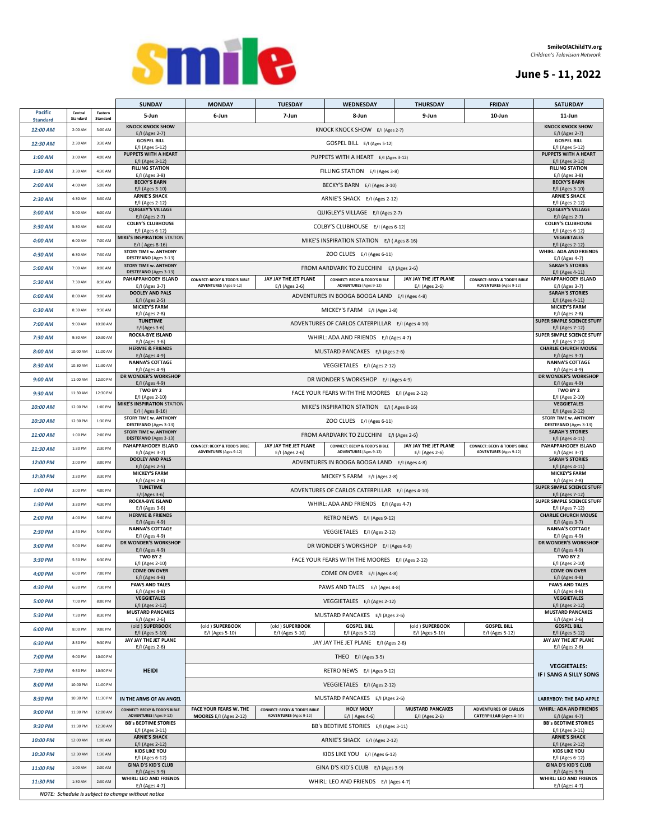

### **June 5 - 11, 2022**

|                                   |                     |                     | <b>SUNDAY</b>                                                             | <b>MONDAY</b>                                                             | <b>TUESDAY</b>                                                                                                      | <b>WEDNESDAY</b>                                                               | <b>THURSDAY</b>                             | <b>FRIDAY</b>                                                             | <b>SATURDAY</b>                                                |  |
|-----------------------------------|---------------------|---------------------|---------------------------------------------------------------------------|---------------------------------------------------------------------------|---------------------------------------------------------------------------------------------------------------------|--------------------------------------------------------------------------------|---------------------------------------------|---------------------------------------------------------------------------|----------------------------------------------------------------|--|
| <b>Pacific</b><br><b>Standard</b> | Central<br>Standard | Eastern<br>Standard | 5-Jun                                                                     | 6-Jun                                                                     | 7-Jun                                                                                                               | 8-Jun                                                                          | 9-Jun                                       | 10-Jun                                                                    | 11-Jun                                                         |  |
| 12:00 AM                          | 2:00 AM             | 3:00 AM             | <b>KNOCK KNOCK SHOW</b>                                                   |                                                                           |                                                                                                                     | KNOCK KNOCK SHOW E/I (Ages 2-7)                                                |                                             |                                                                           | <b>KNOCK KNOCK SHOW</b>                                        |  |
| 12:30 AM                          | 2:30 AM             | 3:30 AM             | E/I (Ages 2-7)<br><b>GOSPEL BILL</b>                                      |                                                                           |                                                                                                                     | GOSPEL BILL E/I (Ages 5-12)                                                    |                                             |                                                                           | E/I (Ages 2-7)<br><b>GOSPEL BILL</b><br>E/I (Ages 5-12)        |  |
| 1:00 AM                           | 3:00 AM             | 4:00 AM             | E/I (Ages 5-12)<br><b>PUPPETS WITH A HEART</b>                            |                                                                           | PUPPETS WITH A HEART E/I (Ages 3-12)                                                                                |                                                                                |                                             |                                                                           |                                                                |  |
| $1:30$ AM                         | 3:30 AM             | 4:30 AM             | E/I (Ages 3-12)<br><b>FILLING STATION</b>                                 |                                                                           |                                                                                                                     | FILLING STATION E/I (Ages 3-8)                                                 |                                             |                                                                           | E/I (Ages 3-12)<br><b>FILLING STATION</b>                      |  |
|                                   |                     |                     | E/I (Ages 3-8)<br><b>BECKY'S BARN</b>                                     |                                                                           |                                                                                                                     |                                                                                |                                             |                                                                           | E/I (Ages 3-8)<br><b>BECKY'S BARN</b>                          |  |
| $2:00$ AM                         | 4:00 AM             | 5:00 AM             | E/I (Ages 3-10)<br><b>ARNIE'S SHACK</b>                                   |                                                                           |                                                                                                                     | BECKY'S BARN E/I (Ages 3-10)                                                   |                                             |                                                                           | E/I (Ages 3-10)<br><b>ARNIE'S SHACK</b>                        |  |
| $2:30$ AM                         | 4:30 AM             | 5:30 AM             | E/I (Ages 2-12)                                                           |                                                                           |                                                                                                                     | ARNIE'S SHACK E/I (Ages 2-12)                                                  |                                             |                                                                           | E/I (Ages 2-12)                                                |  |
| 3:00 AM                           | 5:00 AM             | 6:00 AM             | <b>QUIGLEY'S VILLAGE</b><br>E/I (Ages 2-7)                                |                                                                           |                                                                                                                     | QUIGLEY'S VILLAGE E/I (Ages 2-7)                                               |                                             |                                                                           | <b>QUIGLEY'S VILLAGE</b><br>E/I (Ages 2-7)                     |  |
| $3:30$ AM                         | 5:30 AM             | 6:30 AM             | <b>COLBY'S CLUBHOUSE</b><br>E/I (Ages 6-12)                               |                                                                           |                                                                                                                     | COLBY'S CLUBHOUSE E/I (Ages 6-12)                                              |                                             |                                                                           | <b>COLBY'S CLUBHOUSE</b><br>E/I (Ages 6-12)                    |  |
| 4:00 AM                           | 6:00 AM             | 7:00 AM             | <b>MIKE'S INSPIRATION STATION</b><br>E/I (Ages 8-16)                      |                                                                           |                                                                                                                     | MIKE'S INSPIRATION STATION E/I (Ages 8-16)                                     |                                             |                                                                           | <b>VEGGIETALES</b><br>E/I (Ages 2-12)                          |  |
| 4:30 AM                           | 6:30 AM             | 7:30 AM             | STORY TIME w. ANTHONY<br>DESTEFANO (Ages 3-13)                            |                                                                           |                                                                                                                     | ZOO CLUES E/I (Ages 6-11)                                                      |                                             |                                                                           | WHIRL: ADA AND FRIENDS<br>E/I (Ages 4-7)                       |  |
| 5:00 AM                           | 7:00 AM             | 8:00 AM             | <b>STORY TIME w. ANTHONY</b><br>DESTEFANO (Ages 3-13)                     |                                                                           |                                                                                                                     | FROM AARDVARK TO ZUCCHINI E/I (Ages 2-6)                                       |                                             |                                                                           | <b>SARAH'S STORIES</b><br>E/I (Ages 4-11)                      |  |
| 5:30 AM                           | 7:30 AM             | 8:30 AM             | PAHAPPAHOOEY ISLAND                                                       | <b>CONNECT: BECKY &amp; TODD'S BIBLE</b><br><b>ADVENTURES</b> (Ages 9-12) | JAY JAY THE JET PLANE                                                                                               | <b>CONNECT: BECKY &amp; TODD'S BIBLE</b><br><b>ADVENTURES</b> (Ages 9-12)      | JAY JAY THE JET PLANE                       | <b>CONNECT: BECKY &amp; TODD'S BIBLE</b><br><b>ADVENTURES</b> (Ages 9-12) | PAHAPPAHOOEY ISLAND                                            |  |
| 6:00 AM                           | 8:00 AM             | 9:00 AM             | E/I (Ages 3-7)<br><b>DOOLEY AND PALS</b>                                  |                                                                           | E/I (Ages 2-6)                                                                                                      | ADVENTURES IN BOOGA BOOGA LAND E/I (Ages 4-8)                                  | E/I (Ages 2-6)                              |                                                                           | E/I (Ages 3-7)<br><b>SARAH'S STORIES</b>                       |  |
| 6:30 AM                           | 8:30 AM             | 9:30 AM             | E/I (Ages 2-5)<br><b>MICKEY'S FARM</b>                                    |                                                                           |                                                                                                                     | MICKEY'S FARM E/I (Ages 2-8)                                                   |                                             |                                                                           | E/I (Ages 4-11)<br><b>MICKEY'S FARM</b>                        |  |
|                                   |                     |                     | E/I (Ages 2-8)<br><b>TUNETIME</b>                                         |                                                                           |                                                                                                                     |                                                                                |                                             |                                                                           | E/I (Ages 2-8)<br>SUPER SIMPLE SCIENCE STUFF                   |  |
| 7:00 AM                           | 9:00 AM             | 10:00 AM            | $E/I(Ages 3-6)$<br><b>ROCKA-BYE ISLAND</b>                                |                                                                           |                                                                                                                     | ADVENTURES OF CARLOS CATERPILLAR E/I (Ages 4-10)                               |                                             |                                                                           | E/I (Ages 7-12)<br><b>SUPER SIMPLE SCIENCE STUFF</b>           |  |
| 7:30 AM                           | 9:30 AM             | 10:30 AM            | E/I (Ages 3-6)<br><b>HERMIE &amp; FRIENDS</b>                             |                                                                           |                                                                                                                     | WHIRL: ADA AND FRIENDS E/I (Ages 4-7)                                          |                                             |                                                                           | E/I (Ages 7-12)<br><b>CHARLIE CHURCH MOUSE</b>                 |  |
| 8:00 AM                           | 10:00 AM            | 11:00 AM            | E/I (Ages 4-9)                                                            |                                                                           |                                                                                                                     | MUSTARD PANCAKES E/I (Ages 2-6)                                                |                                             |                                                                           | E/I (Ages 3-7)                                                 |  |
| 8:30 AM                           | 10:30 AM            | 11:30 AM            | <b>NANNA'S COTTAGE</b><br>E/I (Ages 4-9)                                  |                                                                           |                                                                                                                     | VEGGIETALES E/I (Ages 2-12)                                                    |                                             |                                                                           | <b>NANNA'S COTTAGE</b><br>E/I (Ages 4-9)                       |  |
| $9:00$ AM                         | 11:00 AM            | 12:00 PM            | DR WONDER'S WORKSHOP<br>E/I (Ages 4-9)                                    |                                                                           |                                                                                                                     | DR WONDER'S WORKSHOP E/I (Ages 4-9)                                            |                                             |                                                                           | <b>DR WONDER'S WORKSHOP</b><br>E/I (Ages 4-9)                  |  |
| $9:30$ AM                         | 11:30 AM            | 12:30 PM            | TWO BY 2<br>E/I (Ages 2-10)                                               |                                                                           |                                                                                                                     | FACE YOUR FEARS WITH THE MOORES E/I (Ages 2-12)                                |                                             |                                                                           | TWO BY 2<br>E/I (Ages 2-10)                                    |  |
| 10:00 AM                          | 12:00 PM            | 1:00 PM             | <b>MIKE'S INSPIRATION STATION</b><br>E/I (Ages 8-16)                      |                                                                           |                                                                                                                     | MIKE'S INSPIRATION STATION E/I (Ages 8-16)                                     |                                             |                                                                           | <b>VEGGIETALES</b><br>E/I (Ages 2-12)                          |  |
| 10:30 AM                          | 12:30 PM            | 1:30 PM             | <b>STORY TIME w. ANTHONY</b>                                              |                                                                           |                                                                                                                     | ZOO CLUES E/I (Ages 6-11)                                                      |                                             |                                                                           | STORY TIME w. ANTHONY                                          |  |
| 11:00 AM                          | 1:00 PM             | 2:00 PM             | DESTEFANO (Ages 3-13)<br><b>STORY TIME w. ANTHONY</b>                     |                                                                           |                                                                                                                     | FROM AARDVARK TO ZUCCHINI E/I (Ages 2-6)                                       |                                             |                                                                           | DESTEFANO (Ages 3-13)<br><b>SARAH'S STORIES</b>                |  |
| 11:30 AM                          | 1:30 PM             | 2:30 PM             | DESTEFANO (Ages 3-13)<br>PAHAPPAHOOEY ISLAND                              | <b>CONNECT: BECKY &amp; TODD'S BIBLE</b>                                  | JAY JAY THE JET PLANE                                                                                               | <b>CONNECT: BECKY &amp; TODD'S BIBLE</b>                                       | JAY JAY THE JET PLANE                       | <b>CONNECT: BECKY &amp; TODD'S BIBLE</b>                                  | E/I (Ages 4-11)<br>PAHAPPAHOOEY ISLAND                         |  |
|                                   |                     |                     | E/I (Ages 3-7)<br><b>DOOLEY AND PALS</b>                                  | <b>ADVENTURES</b> (Ages 9-12)                                             | E/I (Ages 2-6)                                                                                                      | <b>ADVENTURES</b> (Ages 9-12)<br>ADVENTURES IN BOOGA BOOGA LAND E/I (Ages 4-8) | E/I (Ages 2-6)                              | <b>ADVENTURES</b> (Ages 9-12)                                             | E/I (Ages 3-7)<br><b>SARAH'S STORIES</b>                       |  |
| 12:00 PM                          | 2:00 PM             | 3:00 PM             | $E/I$ (Ages 2-5)<br><b>MICKEY'S FARM</b>                                  |                                                                           | E/I (Ages 4-11)<br><b>MICKEY'S FARM</b>                                                                             |                                                                                |                                             |                                                                           |                                                                |  |
| 12:30 PM                          | 2:30 PM             | 3:30 PM             | E/I (Ages 2-8)<br><b>TUNETIME</b>                                         |                                                                           | E/I (Ages 2-8)<br>SUPER SIMPLE SCIENCE STUFF                                                                        |                                                                                |                                             |                                                                           |                                                                |  |
| 1:00 PM                           | 3:00 PM             | 4:00 PM             | $E/I(Ages 3-6)$                                                           |                                                                           | E/I (Ages 7-12)                                                                                                     |                                                                                |                                             |                                                                           |                                                                |  |
| 1:30 PM                           | 3:30 PM             | 4:30 PM             | ROCKA-BYE ISLAND<br>E/I (Ages 3-6)                                        |                                                                           | SUPER SIMPLE SCIENCE STUFF<br>E/I (Ages 7-12)                                                                       |                                                                                |                                             |                                                                           |                                                                |  |
| 2:00 PM                           | 4:00 PM             | 5:00 PM             | <b>HERMIE &amp; FRIENDS</b><br>E/I (Ages 4-9)                             |                                                                           | <b>CHARLIE CHURCH MOUSE</b><br>E/I (Ages 3-7)                                                                       |                                                                                |                                             |                                                                           |                                                                |  |
| 2:30 PM                           | 4:30 PM             | 5:30 PM             | <b>NANNA'S COTTAGE</b><br>E/I (Ages 4-9)                                  |                                                                           | <b>NANNA'S COTTAGE</b><br>E/I (Ages 4-9)                                                                            |                                                                                |                                             |                                                                           |                                                                |  |
| 3:00 PM                           | 5:00 PM             | 6:00 PM             | DR WONDER'S WORKSHOP<br>E/I (Ages 4-9)                                    |                                                                           | DR WONDER'S WORKSHOP<br>E/I (Ages 4-9)                                                                              |                                                                                |                                             |                                                                           |                                                                |  |
| 3:30 PM                           | 5:30 PM             | 6:30 PM             | TWO BY 2<br>E/I (Ages 2-10)                                               |                                                                           | FACE YOUR FEARS WITH THE MOORES E/I (Ages 2-12)                                                                     |                                                                                |                                             |                                                                           |                                                                |  |
| 4:00 PM                           | 6:00 PM             | 7:00 PM             | <b>COME ON OVER</b><br>$E/I$ (Ages 4-8)                                   |                                                                           | COME ON OVER E/I (Ages 4-8)                                                                                         |                                                                                |                                             |                                                                           |                                                                |  |
| 4:30 PM                           | 6:30 PM             | 7:30 PM             | <b>PAWS AND TALES</b>                                                     |                                                                           |                                                                                                                     | PAWS AND TALES E/I (Ages 4-8)                                                  |                                             |                                                                           | E/I (Ages 4-8)<br><b>PAWS AND TALES</b><br>E/I (Ages 4-8)      |  |
| 5:00 PM                           | 7:00 PM             | 8:00 PM             | E/I (Ages 4-8)<br><b>VEGGIETALES</b>                                      |                                                                           | VEGGIETALES E/I (Ages 2-12)                                                                                         |                                                                                |                                             |                                                                           |                                                                |  |
| 5:30 PM                           | 7:30 PM             | 8:30 PM             | E/I (Ages 2-12)<br><b>MUSTARD PANCAKES</b>                                |                                                                           |                                                                                                                     |                                                                                |                                             |                                                                           | E/I (Ages 2-12)<br><b>MUSTARD PANCAKES</b>                     |  |
| 6:00 PM                           | 8:00 PM             | 9:00 PM             | $E/I$ (Ages 2-6)<br>(old) SUPERBOOK                                       | (old ) SUPERBOOK                                                          | MUSTARD PANCAKES E/I (Ages 2-6)<br>(old ) SUPERBOOK<br><b>GOSPEL BILL</b><br>(old ) SUPERBOOK<br><b>GOSPEL BILL</b> |                                                                                |                                             |                                                                           |                                                                |  |
|                                   |                     |                     | E/I (Ages 5-10)<br>JAY JAY THE JET PLANE                                  | E/I (Ages 5-10)                                                           | E/I (Ages 5-10)                                                                                                     | E/I (Ages 5-12)                                                                | E/I (Ages 5-10)                             | E/I (Ages 5-12)                                                           | <b>GOSPEL BILL</b><br>E/I (Ages 5-12)<br>JAY JAY THE JET PLANE |  |
| 6:30 PM                           | 8:30 PM             | 9:30 PM             | E/I (Ages 2-6)                                                            |                                                                           |                                                                                                                     | JAY JAY THE JET PLANE E/I (Ages 2-6)                                           |                                             |                                                                           | E/I (Ages 2-6)                                                 |  |
| 7:00 PM                           | 9:00 PM             | 10:00 PM            |                                                                           |                                                                           |                                                                                                                     | THEO E/I (Ages 3-5)                                                            |                                             |                                                                           | <b>VEGGIETALES:</b>                                            |  |
| 7:30 PM                           | 9:30 PM             | 10:30 PM            | <b>HEIDI</b>                                                              |                                                                           |                                                                                                                     | RETRO NEWS E/I (Ages 9-12)                                                     |                                             |                                                                           | IF I SANG A SILLY SONG                                         |  |
| 8:00 PM                           | 10:00 PM            | 11:00 PM            |                                                                           |                                                                           |                                                                                                                     | VEGGIETALES E/I (Ages 2-12)                                                    |                                             |                                                                           |                                                                |  |
| 8:30 PM                           | 10:30 PM            | 11:30 PM            | IN THE ARMS OF AN ANGEL                                                   |                                                                           |                                                                                                                     | MUSTARD PANCAKES E/I (Ages 2-6)                                                |                                             |                                                                           | <b>LARRYBOY: THE BAD APPLE</b>                                 |  |
| 9:00 PM                           | 11:00 PM            | 12:00 AM            | <b>CONNECT: BECKY &amp; TODD'S BIBLE</b><br><b>ADVENTURES</b> (Ages 9-12) | FACE YOUR FEARS W. THE<br>MOORES E/I (Ages 2-12)                          | <b>CONNECT: BECKY &amp; TODD'S BIBLE</b><br><b>ADVENTURES</b> (Ages 9-12)                                           | <b>HOLY MOLY</b><br>$E/I$ (Ages 4-6)                                           | <b>MUSTARD PANCAKES</b><br>$E/I$ (Ages 2-6) | <b>ADVENTURES OF CARLOS</b><br><b>CATERPILLAR (Ages 4-10)</b>             | <b>WHIRL: ADA AND FRIENDS</b><br>E/I (Ages 4-7)                |  |
| 9:30 PM                           | 11:30 PM            | 12:30 AM            | <b>BB's BEDTIME STORIES</b><br>E/I (Ages 3-11)                            |                                                                           |                                                                                                                     | BB's BEDTIME STORIES E/I (Ages 3-11)                                           |                                             |                                                                           | <b>BB's BEDTIME STORIES</b><br>E/I (Ages 3-11)                 |  |
| 10:00 PM                          | 12:00 AM            | 1:00 AM             | <b>ARNIE'S SHACK</b>                                                      |                                                                           |                                                                                                                     | ARNIE'S SHACK E/I (Ages 2-12)                                                  |                                             |                                                                           | <b>ARNIE'S SHACK</b>                                           |  |
| 10:30 PM                          | 12:30 AM            | 1:30 AM             | E/I (Ages 2-12)<br><b>KIDS LIKE YOU</b>                                   |                                                                           |                                                                                                                     | KIDS LIKE YOU E/I (Ages 6-12)                                                  |                                             |                                                                           | E/I (Ages 2-12)<br><b>KIDS LIKE YOU</b><br>E/I (Ages 6-12)     |  |
| 11:00 PM                          | 1:00 AM             | 2:00 AM             | E/I (Ages 6-12)<br><b>GINA D'S KID'S CLUB</b>                             |                                                                           | GINA D'S KID'S CLUB E/I (Ages 3-9)                                                                                  |                                                                                |                                             |                                                                           |                                                                |  |
|                                   | 1:30 AM             | 2:30 AM             | E/I (Ages 3-9)<br>WHIRL: LEO AND FRIENDS                                  |                                                                           | E/I (Ages 3-9)<br>WHIRL: LEO AND FRIENDS                                                                            |                                                                                |                                             |                                                                           |                                                                |  |
| 11:30 PM                          |                     |                     | E/I (Ages 4-7)<br>NOTE: Schedule is subject to change without notice      |                                                                           |                                                                                                                     | WHIRL: LEO AND FRIENDS E/I (Ages 4-7)                                          |                                             |                                                                           | E/I (Ages 4-7)                                                 |  |
|                                   |                     |                     |                                                                           |                                                                           |                                                                                                                     |                                                                                |                                             |                                                                           |                                                                |  |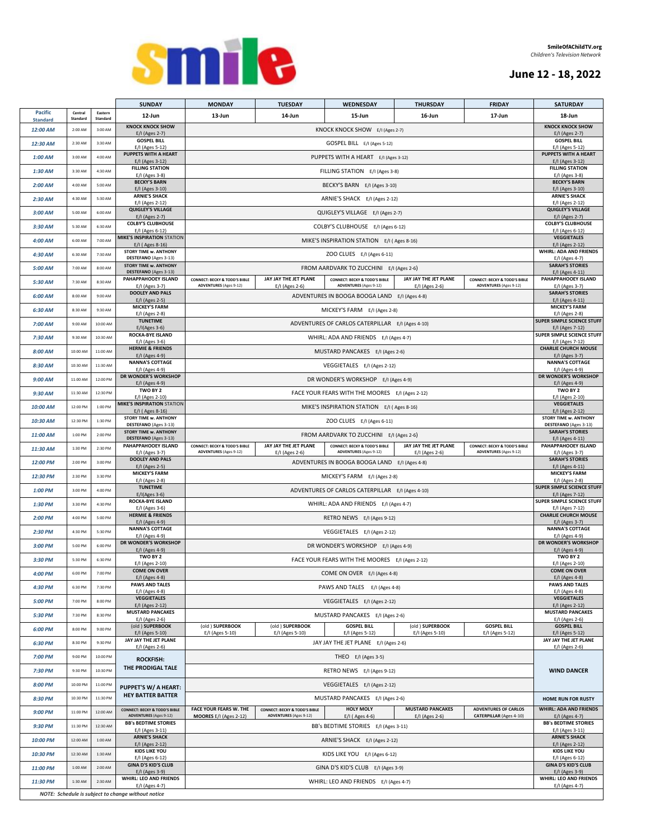

# **June 12 - 18, 2022**

| <b>Pacific</b><br>Central<br>Eastern<br>13-Jun<br>14-Jun<br>16-Jun<br>17-Jun<br>12-Jun<br>15-Jun<br>18-Jun<br>Standard<br>Standard<br><b>Standard</b><br><b>KNOCK KNOCK SHOW</b><br><b>KNOCK KNOCK SHOW</b><br>KNOCK KNOCK SHOW E/I (Ages 2-7)<br>12:00 AM<br>3:00 AM<br>2:00 AM<br>E/I (Ages 2-7)<br>E/I (Ages 2-7)<br><b>GOSPEL BILL</b><br><b>GOSPEL BILL</b><br>12:30 AM<br>2:30 AM<br>GOSPEL BILL E/I (Ages 5-12)<br>3:30 AM<br>E/I (Ages 5-12)<br>E/I (Ages 5-12)<br>PUPPETS WITH A HEART<br>PUPPETS WITH A HEART<br>4:00 AM<br>$1:00$ AM<br>3:00 AM<br>PUPPETS WITH A HEART E/I (Ages 3-12)<br>E/I (Ages 3-12)<br>E/I (Ages 3-12)<br><b>FILLING STATION</b><br><b>FILLING STATION</b><br>3:30 AM<br>4:30 AM<br>FILLING STATION E/I (Ages 3-8)<br>$1:30$ AM<br>E/I (Ages 3-8)<br>E/I (Ages 3-8)<br><b>BECKY'S BARN</b><br><b>BECKY'S BARN</b><br>4:00 AM<br>5:00 AM<br>BECKY'S BARN E/I (Ages 3-10)<br>$2:00$ AM<br>E/I (Ages 3-10)<br>E/I (Ages 3-10)<br><b>ARNIE'S SHACK</b><br><b>ARNIE'S SHACK</b><br>ARNIE'S SHACK E/I (Ages 2-12)<br>$2:30$ AM<br>4:30 AM<br>5:30 AM<br>E/I (Ages 2-12)<br>E/I (Ages 2-12)<br><b>QUIGLEY'S VILLAGE</b><br><b>QUIGLEY'S VILLAGE</b><br>QUIGLEY'S VILLAGE E/I (Ages 2-7)<br>3:00 AM<br>5:00 AM<br>6:00 AM<br>E/I (Ages 2-7)<br>E/I (Ages 2-7)<br><b>COLBY'S CLUBHOUSE</b><br><b>COLBY'S CLUBHOUSE</b><br>3:30 AM<br>5:30 AM<br>6:30 AM<br>COLBY'S CLUBHOUSE E/I (Ages 6-12)<br>E/I (Ages 6-12)<br>E/I (Ages 6-12)<br><b>MIKE'S INSPIRATION STATION</b><br><b>VEGGIETALES</b><br>4:00 AM<br>6:00 AM<br>7:00 AM<br>MIKE'S INSPIRATION STATION E/I (Ages 8-16)<br>E/I (Ages 8-16)<br>E/I (Ages 2-12)<br><b>WHIRL: ADA AND FRIENDS</b><br><b>STORY TIME w. ANTHONY</b><br>4:30 AM<br>6:30 AM<br>7:30 AM<br>ZOO CLUES E/I (Ages 6-11)<br>DESTEFANO (Ages 3-13)<br>E/I (Ages 4-7)<br><b>SARAH'S STORIES</b><br><b>STORY TIME w. ANTHONY</b><br>8:00 AM<br>7:00 AM<br>FROM AARDVARK TO ZUCCHINI E/I (Ages 2-6)<br>5:00 AM<br>DESTEFANO (Ages 3-13)<br>E/I (Ages 4-11)<br>JAY JAY THE JET PLANE<br>PAHAPPAHOOEY ISLAND<br>JAY JAY THE JET PLANE<br>PAHAPPAHOOEY ISLAND<br><b>CONNECT: BECKY &amp; TODD'S BIBLE</b><br><b>CONNECT: BECKY &amp; TODD'S BIBLE</b><br><b>CONNECT: BECKY &amp; TODD'S BIBLE</b><br>7:30 AM<br>8:30 AM<br>5:30 AM<br><b>ADVENTURES</b> (Ages 9-12)<br><b>ADVENTURES</b> (Ages 9-12)<br><b>ADVENTURES</b> (Ages 9-12)<br>E/I (Ages 3-7)<br>E/I (Ages 2-6)<br>E/I (Ages 2-6)<br>E/I (Ages 3-7)<br><b>DOOLEY AND PALS</b><br><b>SARAH'S STORIES</b><br>8:00 AM<br>9:00 AM<br>6:00 AM<br>ADVENTURES IN BOOGA BOOGA LAND E/I (Ages 4-8)<br>E/I (Ages 4-11)<br>E/I (Ages 2-5)<br><b>MICKEY'S FARM</b><br><b>MICKEY'S FARM</b><br>8:30 AM<br>9:30 AM<br>MICKEY'S FARM E/I (Ages 2-8)<br>6:30 AM<br>E/I (Ages 2-8)<br>E/I (Ages 2-8)<br><b>SUPER SIMPLE SCIENCE STUFF</b><br><b>TUNETIME</b><br>ADVENTURES OF CARLOS CATERPILLAR E/I (Ages 4-10)<br>9:00 AM<br>10:00 AM<br>7:00 AM<br>$E/I(Ages 3-6)$<br>E/I (Ages 7-12)<br><b>SUPER SIMPLE SCIENCE STUFF</b><br><b>ROCKA-BYE ISLAND</b><br>9:30 AM<br>10:30 AM<br>WHIRL: ADA AND FRIENDS E/I (Ages 4-7)<br>7:30 AM<br>E/I (Ages 3-6)<br>E/I (Ages 7-12)<br><b>HERMIE &amp; FRIENDS</b><br><b>CHARLIE CHURCH MOUSE</b><br>8:00 AM<br>11:00 AM<br>MUSTARD PANCAKES E/I (Ages 2-6)<br>10:00 AM<br>E/I (Ages 4-9)<br>E/I (Ages 3-7)<br><b>NANNA'S COTTAGE</b><br><b>NANNA'S COTTAGE</b><br>8:30 AM<br>11:30 AM<br>VEGGIETALES E/I (Ages 2-12)<br>10:30 AM<br>E/I (Ages 4-9)<br>E/I (Ages 4-9)<br>DR WONDER'S WORKSHOP<br>DR WONDER'S WORKSHOP<br>12:00 PM<br>9:00 AM<br>11:00 AM<br>DR WONDER'S WORKSHOP E/I (Ages 4-9)<br>E/I (Ages 4-9)<br>E/I (Ages 4-9)<br>TWO BY 2<br>TWO BY 2<br>11:30 AM<br>12:30 PM<br>$9:30$ AM<br>FACE YOUR FEARS WITH THE MOORES E/I (Ages 2-12)<br>E/I (Ages 2-10)<br>E/I (Ages 2-10)<br><b>MIKE'S INSPIRATION STATION</b><br><b>VEGGIETALES</b><br>1:00 PM<br>10:00 AM<br>12:00 PM<br>MIKE'S INSPIRATION STATION E/I (Ages 8-16)<br>E/I (Ages 8-16)<br>E/I (Ages 2-12)<br><b>STORY TIME w. ANTHONY</b><br><b>STORY TIME w. ANTHONY</b><br>12:30 PM<br>1:30 PM<br>ZOO CLUES E/I (Ages 6-11)<br>10:30 AM<br>DESTEFANO (Ages 3-13)<br>DESTEFANO (Ages 3-13)<br><b>STORY TIME w. ANTHONY</b><br><b>SARAH'S STORIES</b><br>1:00 PM<br>2:00 PM<br>FROM AARDVARK TO ZUCCHINI E/I (Ages 2-6)<br>11:00 AM<br>DESTEFANO (Ages 3-13)<br>E/I (Ages 4-11)<br>PAHAPPAHOOEY ISLAND<br>JAY JAY THE JET PLANE<br>JAY JAY THE JET PLANE<br>PAHAPPAHOOEY ISLAND<br><b>CONNECT: BECKY &amp; TODD'S BIBLE</b><br><b>CONNECT: BECKY &amp; TODD'S BIBLE</b><br><b>CONNECT: BECKY &amp; TODD'S BIBLE</b><br>1:30 PM<br>2:30 PM<br>11:30 AM<br><b>ADVENTURES</b> (Ages 9-12)<br><b>ADVENTURES</b> (Ages 9-12)<br><b>ADVENTURES</b> (Ages 9-12)<br>E/I (Ages 3-7)<br>E/I (Ages 2-6)<br>E/I (Ages 2-6)<br>E/I (Ages 3-7)<br><b>DOOLEY AND PALS</b><br><b>SARAH'S STORIES</b><br>2:00 PM<br>3:00 PM<br>ADVENTURES IN BOOGA BOOGA LAND E/I (Ages 4-8)<br>12:00 PM<br>E/I (Ages 2-5)<br>E/I (Ages 4-11)<br><b>MICKEY'S FARM</b><br><b>MICKEY'S FARM</b><br>12:30 PM<br>2:30 PM<br>3:30 PM<br>MICKEY'S FARM E/I (Ages 2-8)<br>E/I (Ages 2-8)<br>E/I (Ages 2-8)<br><b>SUPER SIMPLE SCIENCE STUFF</b><br><b>TUNETIME</b><br>1:00 PM<br>3:00 PM<br>4:00 PM<br>ADVENTURES OF CARLOS CATERPILLAR E/I (Ages 4-10)<br>$E/I(Ages 3-6)$<br>E/I (Ages 7-12)<br><b>ROCKA-BYE ISLAND</b><br>SUPER SIMPLE SCIENCE STUFF<br>1:30 PM<br>WHIRL: ADA AND FRIENDS E/I (Ages 4-7)<br>3:30 PM<br>4:30 PM<br>E/I (Ages 3-6)<br>E/I (Ages 7-12)<br><b>HERMIE &amp; FRIENDS</b><br><b>CHARLIE CHURCH MOUSE</b><br>4:00 PM<br>5:00 PM<br>2:00 PM<br>RETRO NEWS E/I (Ages 9-12)<br>E/I (Ages 4-9)<br>E/I (Ages 3-7)<br><b>NANNA'S COTTAGE</b><br><b>NANNA'S COTTAGE</b><br>4:30 PM<br>5:30 PM<br>2:30 PM<br>VEGGIETALES E/I (Ages 2-12)<br>E/I (Ages 4-9)<br>E/I (Ages 4-9)<br>DR WONDER'S WORKSHOP<br><b>DR WONDER'S WORKSHOP</b><br>5:00 PM<br>6:00 PM<br>DR WONDER'S WORKSHOP E/I (Ages 4-9)<br>3:00 PM<br>E/I (Ages 4-9)<br>E/I (Ages 4-9)<br>TWO BY 2<br>TWO BY 2<br>FACE YOUR FEARS WITH THE MOORES E/I (Ages 2-12)<br>3:30 PM<br>5:30 PM<br>6:30 PM<br>E/I (Ages 2-10)<br>E/I (Ages 2-10)<br><b>COME ON OVER</b><br><b>COME ON OVER</b><br>7:00 PM<br>COME ON OVER E/I (Ages 4-8)<br>4:00 PM<br>6:00 PM<br>E/I (Ages 4-8)<br>E/I (Ages 4-8)<br><b>PAWS AND TALES</b><br><b>PAWS AND TALES</b><br>6:30 PM<br>7:30 PM<br>PAWS AND TALES E/I (Ages 4-8)<br>4:30 PM<br>E/I (Ages 4-8)<br>E/I (Ages 4-8)<br><b>VEGGIETALES</b><br><b>VEGGIETALES</b><br>5:00 PM<br>7:00 PM<br>8:00 PM<br>VEGGIETALES E/I (Ages 2-12)<br>E/I (Ages 2-12)<br>E/I (Ages 2-12)<br><b>MUSTARD PANCAKES</b><br><b>MUSTARD PANCAKES</b><br>5:30 PM<br>7:30 PM<br>8:30 PM<br>MUSTARD PANCAKES E/I (Ages 2-6)<br>E/I (Ages 2-6)<br>E/I (Ages 2-6)<br>(old) SUPERBOOK<br>(old) SUPERBOOK<br>(old ) SUPERBOOK<br>(old ) SUPERBOOK<br><b>GOSPEL BILL</b><br><b>GOSPEL BILL</b><br><b>GOSPEL BILL</b><br>6:00 PM<br>9:00 PM<br>8:00 PM<br>E/I (Ages 5-10)<br>E/I (Ages 5-10)<br>E/I (Ages 5-10)<br>E/I (Ages 5-12)<br>E/I (Ages 5-10)<br>E/I (Ages 5-12)<br>E/I (Ages 5-12)<br>JAY JAY THE JET PLANE<br>JAY JAY THE JET PLANE<br>6:30 PM<br>8:30 PM<br>9:30 PM<br>JAY JAY THE JET PLANE E/I (Ages 2-6)<br>E/I (Ages 2-6)<br>E/I (Ages 2-6)<br>7:00 PM<br>9:00 PM<br>10:00 PM<br>THEO E/I (Ages 3-5)<br><b>ROCKFISH:</b><br>THE PRODIGAL TALE<br><b>WIND DANCER</b><br>9:30 PM<br>10:30 PM<br>RETRO NEWS E/I (Ages 9-12)<br>7:30 PM<br>10:00 PM<br>11:00 PM<br>VEGGIETALES E/I (Ages 2-12)<br>8:00 PM<br><b>PUPPET'S W/ A HEART:</b><br><b>HEY BATTER BATTER</b><br>10:30 PM<br>11:30 PM<br>MUSTARD PANCAKES E/I (Ages 2-6)<br>8:30 PM<br><b>HOME RUN FOR RUSTY</b><br><b>HOLY MOLY</b><br><b>MUSTARD PANCAKES</b><br><b>WHIRL: ADA AND FRIENDS</b><br><b>CONNECT: BECKY &amp; TODD'S BIBLE</b><br>FACE YOUR FEARS W. THE<br><b>CONNECT: BECKY &amp; TODD'S BIBLE</b><br><b>ADVENTURES OF CARLOS</b><br>9:00 PM<br>12:00 AM<br>11:00 PM<br><b>ADVENTURES</b> (Ages 9-12)<br><b>ADVENTURES</b> (Ages 9-12)<br><b>CATERPILLAR (Ages 4-10)</b><br>MOORES E/I (Ages 2-12)<br>E/I (Ages 4-6)<br>E/I (Ages 2-6)<br>E/I (Ages 4-7)<br><b>BB's BEDTIME STORIES</b><br><b>BB's BEDTIME STORIES</b><br>9:30 PM<br>11:30 PM<br>12:30 AM<br>BB's BEDTIME STORIES E/I (Ages 3-11)<br>E/I (Ages 3-11)<br>E/I (Ages 3-11)<br><b>ARNIE'S SHACK</b><br><b>ARNIE'S SHACK</b><br>10:00 PM<br>12:00 AM<br>1:00 AM<br>ARNIE'S SHACK E/I (Ages 2-12)<br>E/I (Ages 2-12)<br>E/I (Ages 2-12)<br><b>KIDS LIKE YOU</b><br><b>KIDS LIKE YOU</b><br>10:30 PM<br>12:30 AM<br>1:30 AM<br>KIDS LIKE YOU E/I (Ages 6-12)<br>E/I (Ages 6-12)<br>E/I (Ages 6-12)<br><b>GINA D'S KID'S CLUB</b><br><b>GINA D'S KID'S CLUB</b><br>1:00 AM<br>11:00 PM<br>2:00 AM<br>GINA D'S KID'S CLUB E/I (Ages 3-9)<br>E/I (Ages 3-9)<br>E/I (Ages 3-9)<br>WHIRL: LEO AND FRIENDS<br><b>WHIRL: LEO AND FRIENDS</b><br>1:30 AM<br>2:30 AM<br>11:30 PM<br>WHIRL: LEO AND FRIENDS E/I (Ages 4-7)<br>E/I (Ages 4-7)<br>E/I (Ages 4-7)<br>NOTE: Schedule is subject to change without notice |  |  | <b>SUNDAY</b> | <b>MONDAY</b> | <b>TUESDAY</b> | WEDNESDAY | <b>THURSDAY</b> | <b>FRIDAY</b> | <b>SATURDAY</b> |  |
|----------------------------------------------------------------------------------------------------------------------------------------------------------------------------------------------------------------------------------------------------------------------------------------------------------------------------------------------------------------------------------------------------------------------------------------------------------------------------------------------------------------------------------------------------------------------------------------------------------------------------------------------------------------------------------------------------------------------------------------------------------------------------------------------------------------------------------------------------------------------------------------------------------------------------------------------------------------------------------------------------------------------------------------------------------------------------------------------------------------------------------------------------------------------------------------------------------------------------------------------------------------------------------------------------------------------------------------------------------------------------------------------------------------------------------------------------------------------------------------------------------------------------------------------------------------------------------------------------------------------------------------------------------------------------------------------------------------------------------------------------------------------------------------------------------------------------------------------------------------------------------------------------------------------------------------------------------------------------------------------------------------------------------------------------------------------------------------------------------------------------------------------------------------------------------------------------------------------------------------------------------------------------------------------------------------------------------------------------------------------------------------------------------------------------------------------------------------------------------------------------------------------------------------------------------------------------------------------------------------------------------------------------------------------------------------------------------------------------------------------------------------------------------------------------------------------------------------------------------------------------------------------------------------------------------------------------------------------------------------------------------------------------------------------------------------------------------------------------------------------------------------------------------------------------------------------------------------------------------------------------------------------------------------------------------------------------------------------------------------------------------------------------------------------------------------------------------------------------------------------------------------------------------------------------------------------------------------------------------------------------------------------------------------------------------------------------------------------------------------------------------------------------------------------------------------------------------------------------------------------------------------------------------------------------------------------------------------------------------------------------------------------------------------------------------------------------------------------------------------------------------------------------------------------------------------------------------------------------------------------------------------------------------------------------------------------------------------------------------------------------------------------------------------------------------------------------------------------------------------------------------------------------------------------------------------------------------------------------------------------------------------------------------------------------------------------------------------------------------------------------------------------------------------------------------------------------------------------------------------------------------------------------------------------------------------------------------------------------------------------------------------------------------------------------------------------------------------------------------------------------------------------------------------------------------------------------------------------------------------------------------------------------------------------------------------------------------------------------------------------------------------------------------------------------------------------------------------------------------------------------------------------------------------------------------------------------------------------------------------------------------------------------------------------------------------------------------------------------------------------------------------------------------------------------------------------------------------------------------------------------------------------------------------------------------------------------------------------------------------------------------------------------------------------------------------------------------------------------------------------------------------------------------------------------------------------------------------------------------------------------------------------------------------------------------------------------------------------------------------------------------------------------------------------------------------------------------------------------------------------------------------------------------------------------------------------------------------------------------------------------------------------------------------------------------------------------------------------------------------------------------------------------------------------------------------------------------------------------------------------------------------------------------------------------------------------------------------------------------------------------------------------------------------------------------------------------------------------------------------------------------------------------------------------------------------------------------------------------------------------------------------------------------------------------------------------------------------------------------------------------------------------------------------------------------------------------------------------------------------------------------------------------------------------------------------------------------------------------------------------------------------------------------------------------------------------------------------------------------------------------------------------------------------------------------------------------------------------------------------------------------------------------------------------------------------------------------------------------------------------------------------------------------------------------------------------------------------------------------------------------------------------------------------------------------------------------------------------------------------------------------------------------------------------------------------------------------------------------------------------------------------------------------------------------------------------------------------------------------------------------------------------------------------------------------------------------------------------------------------------------------------------------------------------------------------------------------------------------------------------------------------------------------------------------------------------------------------------------------------------------------------------------------------------------------------------------------------------------------------------------------------------------------------------------------------------------------|--|--|---------------|---------------|----------------|-----------|-----------------|---------------|-----------------|--|
|                                                                                                                                                                                                                                                                                                                                                                                                                                                                                                                                                                                                                                                                                                                                                                                                                                                                                                                                                                                                                                                                                                                                                                                                                                                                                                                                                                                                                                                                                                                                                                                                                                                                                                                                                                                                                                                                                                                                                                                                                                                                                                                                                                                                                                                                                                                                                                                                                                                                                                                                                                                                                                                                                                                                                                                                                                                                                                                                                                                                                                                                                                                                                                                                                                                                                                                                                                                                                                                                                                                                                                                                                                                                                                                                                                                                                                                                                                                                                                                                                                                                                                                                                                                                                                                                                                                                                                                                                                                                                                                                                                                                                                                                                                                                                                                                                                                                                                                                                                                                                                                                                                                                                                                                                                                                                                                                                                                                                                                                                                                                                                                                                                                                                                                                                                                                                                                                                                                                                                                                                                                                                                                                                                                                                                                                                                                                                                                                                                                                                                                                                                                                                                                                                                                                                                                                                                                                                                                                                                                                                                                                                                                                                                                                                                                                                                                                                                                                                                                                                                                                                                                                                                                                                                                                                                                                                                                                                                                                                                                                                                                                                                                                                                                                                                                                                                                                                                                                                                                                                                                                                                                                                                                                                                                                                                                                                                                                                                                                                                                                                                                                                  |  |  |               |               |                |           |                 |               |                 |  |
|                                                                                                                                                                                                                                                                                                                                                                                                                                                                                                                                                                                                                                                                                                                                                                                                                                                                                                                                                                                                                                                                                                                                                                                                                                                                                                                                                                                                                                                                                                                                                                                                                                                                                                                                                                                                                                                                                                                                                                                                                                                                                                                                                                                                                                                                                                                                                                                                                                                                                                                                                                                                                                                                                                                                                                                                                                                                                                                                                                                                                                                                                                                                                                                                                                                                                                                                                                                                                                                                                                                                                                                                                                                                                                                                                                                                                                                                                                                                                                                                                                                                                                                                                                                                                                                                                                                                                                                                                                                                                                                                                                                                                                                                                                                                                                                                                                                                                                                                                                                                                                                                                                                                                                                                                                                                                                                                                                                                                                                                                                                                                                                                                                                                                                                                                                                                                                                                                                                                                                                                                                                                                                                                                                                                                                                                                                                                                                                                                                                                                                                                                                                                                                                                                                                                                                                                                                                                                                                                                                                                                                                                                                                                                                                                                                                                                                                                                                                                                                                                                                                                                                                                                                                                                                                                                                                                                                                                                                                                                                                                                                                                                                                                                                                                                                                                                                                                                                                                                                                                                                                                                                                                                                                                                                                                                                                                                                                                                                                                                                                                                                                                                  |  |  |               |               |                |           |                 |               |                 |  |
|                                                                                                                                                                                                                                                                                                                                                                                                                                                                                                                                                                                                                                                                                                                                                                                                                                                                                                                                                                                                                                                                                                                                                                                                                                                                                                                                                                                                                                                                                                                                                                                                                                                                                                                                                                                                                                                                                                                                                                                                                                                                                                                                                                                                                                                                                                                                                                                                                                                                                                                                                                                                                                                                                                                                                                                                                                                                                                                                                                                                                                                                                                                                                                                                                                                                                                                                                                                                                                                                                                                                                                                                                                                                                                                                                                                                                                                                                                                                                                                                                                                                                                                                                                                                                                                                                                                                                                                                                                                                                                                                                                                                                                                                                                                                                                                                                                                                                                                                                                                                                                                                                                                                                                                                                                                                                                                                                                                                                                                                                                                                                                                                                                                                                                                                                                                                                                                                                                                                                                                                                                                                                                                                                                                                                                                                                                                                                                                                                                                                                                                                                                                                                                                                                                                                                                                                                                                                                                                                                                                                                                                                                                                                                                                                                                                                                                                                                                                                                                                                                                                                                                                                                                                                                                                                                                                                                                                                                                                                                                                                                                                                                                                                                                                                                                                                                                                                                                                                                                                                                                                                                                                                                                                                                                                                                                                                                                                                                                                                                                                                                                                                                  |  |  |               |               |                |           |                 |               |                 |  |
|                                                                                                                                                                                                                                                                                                                                                                                                                                                                                                                                                                                                                                                                                                                                                                                                                                                                                                                                                                                                                                                                                                                                                                                                                                                                                                                                                                                                                                                                                                                                                                                                                                                                                                                                                                                                                                                                                                                                                                                                                                                                                                                                                                                                                                                                                                                                                                                                                                                                                                                                                                                                                                                                                                                                                                                                                                                                                                                                                                                                                                                                                                                                                                                                                                                                                                                                                                                                                                                                                                                                                                                                                                                                                                                                                                                                                                                                                                                                                                                                                                                                                                                                                                                                                                                                                                                                                                                                                                                                                                                                                                                                                                                                                                                                                                                                                                                                                                                                                                                                                                                                                                                                                                                                                                                                                                                                                                                                                                                                                                                                                                                                                                                                                                                                                                                                                                                                                                                                                                                                                                                                                                                                                                                                                                                                                                                                                                                                                                                                                                                                                                                                                                                                                                                                                                                                                                                                                                                                                                                                                                                                                                                                                                                                                                                                                                                                                                                                                                                                                                                                                                                                                                                                                                                                                                                                                                                                                                                                                                                                                                                                                                                                                                                                                                                                                                                                                                                                                                                                                                                                                                                                                                                                                                                                                                                                                                                                                                                                                                                                                                                                                  |  |  |               |               |                |           |                 |               |                 |  |
|                                                                                                                                                                                                                                                                                                                                                                                                                                                                                                                                                                                                                                                                                                                                                                                                                                                                                                                                                                                                                                                                                                                                                                                                                                                                                                                                                                                                                                                                                                                                                                                                                                                                                                                                                                                                                                                                                                                                                                                                                                                                                                                                                                                                                                                                                                                                                                                                                                                                                                                                                                                                                                                                                                                                                                                                                                                                                                                                                                                                                                                                                                                                                                                                                                                                                                                                                                                                                                                                                                                                                                                                                                                                                                                                                                                                                                                                                                                                                                                                                                                                                                                                                                                                                                                                                                                                                                                                                                                                                                                                                                                                                                                                                                                                                                                                                                                                                                                                                                                                                                                                                                                                                                                                                                                                                                                                                                                                                                                                                                                                                                                                                                                                                                                                                                                                                                                                                                                                                                                                                                                                                                                                                                                                                                                                                                                                                                                                                                                                                                                                                                                                                                                                                                                                                                                                                                                                                                                                                                                                                                                                                                                                                                                                                                                                                                                                                                                                                                                                                                                                                                                                                                                                                                                                                                                                                                                                                                                                                                                                                                                                                                                                                                                                                                                                                                                                                                                                                                                                                                                                                                                                                                                                                                                                                                                                                                                                                                                                                                                                                                                                                  |  |  |               |               |                |           |                 |               |                 |  |
|                                                                                                                                                                                                                                                                                                                                                                                                                                                                                                                                                                                                                                                                                                                                                                                                                                                                                                                                                                                                                                                                                                                                                                                                                                                                                                                                                                                                                                                                                                                                                                                                                                                                                                                                                                                                                                                                                                                                                                                                                                                                                                                                                                                                                                                                                                                                                                                                                                                                                                                                                                                                                                                                                                                                                                                                                                                                                                                                                                                                                                                                                                                                                                                                                                                                                                                                                                                                                                                                                                                                                                                                                                                                                                                                                                                                                                                                                                                                                                                                                                                                                                                                                                                                                                                                                                                                                                                                                                                                                                                                                                                                                                                                                                                                                                                                                                                                                                                                                                                                                                                                                                                                                                                                                                                                                                                                                                                                                                                                                                                                                                                                                                                                                                                                                                                                                                                                                                                                                                                                                                                                                                                                                                                                                                                                                                                                                                                                                                                                                                                                                                                                                                                                                                                                                                                                                                                                                                                                                                                                                                                                                                                                                                                                                                                                                                                                                                                                                                                                                                                                                                                                                                                                                                                                                                                                                                                                                                                                                                                                                                                                                                                                                                                                                                                                                                                                                                                                                                                                                                                                                                                                                                                                                                                                                                                                                                                                                                                                                                                                                                                                                  |  |  |               |               |                |           |                 |               |                 |  |
|                                                                                                                                                                                                                                                                                                                                                                                                                                                                                                                                                                                                                                                                                                                                                                                                                                                                                                                                                                                                                                                                                                                                                                                                                                                                                                                                                                                                                                                                                                                                                                                                                                                                                                                                                                                                                                                                                                                                                                                                                                                                                                                                                                                                                                                                                                                                                                                                                                                                                                                                                                                                                                                                                                                                                                                                                                                                                                                                                                                                                                                                                                                                                                                                                                                                                                                                                                                                                                                                                                                                                                                                                                                                                                                                                                                                                                                                                                                                                                                                                                                                                                                                                                                                                                                                                                                                                                                                                                                                                                                                                                                                                                                                                                                                                                                                                                                                                                                                                                                                                                                                                                                                                                                                                                                                                                                                                                                                                                                                                                                                                                                                                                                                                                                                                                                                                                                                                                                                                                                                                                                                                                                                                                                                                                                                                                                                                                                                                                                                                                                                                                                                                                                                                                                                                                                                                                                                                                                                                                                                                                                                                                                                                                                                                                                                                                                                                                                                                                                                                                                                                                                                                                                                                                                                                                                                                                                                                                                                                                                                                                                                                                                                                                                                                                                                                                                                                                                                                                                                                                                                                                                                                                                                                                                                                                                                                                                                                                                                                                                                                                                                                  |  |  |               |               |                |           |                 |               |                 |  |
|                                                                                                                                                                                                                                                                                                                                                                                                                                                                                                                                                                                                                                                                                                                                                                                                                                                                                                                                                                                                                                                                                                                                                                                                                                                                                                                                                                                                                                                                                                                                                                                                                                                                                                                                                                                                                                                                                                                                                                                                                                                                                                                                                                                                                                                                                                                                                                                                                                                                                                                                                                                                                                                                                                                                                                                                                                                                                                                                                                                                                                                                                                                                                                                                                                                                                                                                                                                                                                                                                                                                                                                                                                                                                                                                                                                                                                                                                                                                                                                                                                                                                                                                                                                                                                                                                                                                                                                                                                                                                                                                                                                                                                                                                                                                                                                                                                                                                                                                                                                                                                                                                                                                                                                                                                                                                                                                                                                                                                                                                                                                                                                                                                                                                                                                                                                                                                                                                                                                                                                                                                                                                                                                                                                                                                                                                                                                                                                                                                                                                                                                                                                                                                                                                                                                                                                                                                                                                                                                                                                                                                                                                                                                                                                                                                                                                                                                                                                                                                                                                                                                                                                                                                                                                                                                                                                                                                                                                                                                                                                                                                                                                                                                                                                                                                                                                                                                                                                                                                                                                                                                                                                                                                                                                                                                                                                                                                                                                                                                                                                                                                                                                  |  |  |               |               |                |           |                 |               |                 |  |
|                                                                                                                                                                                                                                                                                                                                                                                                                                                                                                                                                                                                                                                                                                                                                                                                                                                                                                                                                                                                                                                                                                                                                                                                                                                                                                                                                                                                                                                                                                                                                                                                                                                                                                                                                                                                                                                                                                                                                                                                                                                                                                                                                                                                                                                                                                                                                                                                                                                                                                                                                                                                                                                                                                                                                                                                                                                                                                                                                                                                                                                                                                                                                                                                                                                                                                                                                                                                                                                                                                                                                                                                                                                                                                                                                                                                                                                                                                                                                                                                                                                                                                                                                                                                                                                                                                                                                                                                                                                                                                                                                                                                                                                                                                                                                                                                                                                                                                                                                                                                                                                                                                                                                                                                                                                                                                                                                                                                                                                                                                                                                                                                                                                                                                                                                                                                                                                                                                                                                                                                                                                                                                                                                                                                                                                                                                                                                                                                                                                                                                                                                                                                                                                                                                                                                                                                                                                                                                                                                                                                                                                                                                                                                                                                                                                                                                                                                                                                                                                                                                                                                                                                                                                                                                                                                                                                                                                                                                                                                                                                                                                                                                                                                                                                                                                                                                                                                                                                                                                                                                                                                                                                                                                                                                                                                                                                                                                                                                                                                                                                                                                                                  |  |  |               |               |                |           |                 |               |                 |  |
|                                                                                                                                                                                                                                                                                                                                                                                                                                                                                                                                                                                                                                                                                                                                                                                                                                                                                                                                                                                                                                                                                                                                                                                                                                                                                                                                                                                                                                                                                                                                                                                                                                                                                                                                                                                                                                                                                                                                                                                                                                                                                                                                                                                                                                                                                                                                                                                                                                                                                                                                                                                                                                                                                                                                                                                                                                                                                                                                                                                                                                                                                                                                                                                                                                                                                                                                                                                                                                                                                                                                                                                                                                                                                                                                                                                                                                                                                                                                                                                                                                                                                                                                                                                                                                                                                                                                                                                                                                                                                                                                                                                                                                                                                                                                                                                                                                                                                                                                                                                                                                                                                                                                                                                                                                                                                                                                                                                                                                                                                                                                                                                                                                                                                                                                                                                                                                                                                                                                                                                                                                                                                                                                                                                                                                                                                                                                                                                                                                                                                                                                                                                                                                                                                                                                                                                                                                                                                                                                                                                                                                                                                                                                                                                                                                                                                                                                                                                                                                                                                                                                                                                                                                                                                                                                                                                                                                                                                                                                                                                                                                                                                                                                                                                                                                                                                                                                                                                                                                                                                                                                                                                                                                                                                                                                                                                                                                                                                                                                                                                                                                                                                  |  |  |               |               |                |           |                 |               |                 |  |
|                                                                                                                                                                                                                                                                                                                                                                                                                                                                                                                                                                                                                                                                                                                                                                                                                                                                                                                                                                                                                                                                                                                                                                                                                                                                                                                                                                                                                                                                                                                                                                                                                                                                                                                                                                                                                                                                                                                                                                                                                                                                                                                                                                                                                                                                                                                                                                                                                                                                                                                                                                                                                                                                                                                                                                                                                                                                                                                                                                                                                                                                                                                                                                                                                                                                                                                                                                                                                                                                                                                                                                                                                                                                                                                                                                                                                                                                                                                                                                                                                                                                                                                                                                                                                                                                                                                                                                                                                                                                                                                                                                                                                                                                                                                                                                                                                                                                                                                                                                                                                                                                                                                                                                                                                                                                                                                                                                                                                                                                                                                                                                                                                                                                                                                                                                                                                                                                                                                                                                                                                                                                                                                                                                                                                                                                                                                                                                                                                                                                                                                                                                                                                                                                                                                                                                                                                                                                                                                                                                                                                                                                                                                                                                                                                                                                                                                                                                                                                                                                                                                                                                                                                                                                                                                                                                                                                                                                                                                                                                                                                                                                                                                                                                                                                                                                                                                                                                                                                                                                                                                                                                                                                                                                                                                                                                                                                                                                                                                                                                                                                                                                                  |  |  |               |               |                |           |                 |               |                 |  |
|                                                                                                                                                                                                                                                                                                                                                                                                                                                                                                                                                                                                                                                                                                                                                                                                                                                                                                                                                                                                                                                                                                                                                                                                                                                                                                                                                                                                                                                                                                                                                                                                                                                                                                                                                                                                                                                                                                                                                                                                                                                                                                                                                                                                                                                                                                                                                                                                                                                                                                                                                                                                                                                                                                                                                                                                                                                                                                                                                                                                                                                                                                                                                                                                                                                                                                                                                                                                                                                                                                                                                                                                                                                                                                                                                                                                                                                                                                                                                                                                                                                                                                                                                                                                                                                                                                                                                                                                                                                                                                                                                                                                                                                                                                                                                                                                                                                                                                                                                                                                                                                                                                                                                                                                                                                                                                                                                                                                                                                                                                                                                                                                                                                                                                                                                                                                                                                                                                                                                                                                                                                                                                                                                                                                                                                                                                                                                                                                                                                                                                                                                                                                                                                                                                                                                                                                                                                                                                                                                                                                                                                                                                                                                                                                                                                                                                                                                                                                                                                                                                                                                                                                                                                                                                                                                                                                                                                                                                                                                                                                                                                                                                                                                                                                                                                                                                                                                                                                                                                                                                                                                                                                                                                                                                                                                                                                                                                                                                                                                                                                                                                                                  |  |  |               |               |                |           |                 |               |                 |  |
|                                                                                                                                                                                                                                                                                                                                                                                                                                                                                                                                                                                                                                                                                                                                                                                                                                                                                                                                                                                                                                                                                                                                                                                                                                                                                                                                                                                                                                                                                                                                                                                                                                                                                                                                                                                                                                                                                                                                                                                                                                                                                                                                                                                                                                                                                                                                                                                                                                                                                                                                                                                                                                                                                                                                                                                                                                                                                                                                                                                                                                                                                                                                                                                                                                                                                                                                                                                                                                                                                                                                                                                                                                                                                                                                                                                                                                                                                                                                                                                                                                                                                                                                                                                                                                                                                                                                                                                                                                                                                                                                                                                                                                                                                                                                                                                                                                                                                                                                                                                                                                                                                                                                                                                                                                                                                                                                                                                                                                                                                                                                                                                                                                                                                                                                                                                                                                                                                                                                                                                                                                                                                                                                                                                                                                                                                                                                                                                                                                                                                                                                                                                                                                                                                                                                                                                                                                                                                                                                                                                                                                                                                                                                                                                                                                                                                                                                                                                                                                                                                                                                                                                                                                                                                                                                                                                                                                                                                                                                                                                                                                                                                                                                                                                                                                                                                                                                                                                                                                                                                                                                                                                                                                                                                                                                                                                                                                                                                                                                                                                                                                                                                  |  |  |               |               |                |           |                 |               |                 |  |
|                                                                                                                                                                                                                                                                                                                                                                                                                                                                                                                                                                                                                                                                                                                                                                                                                                                                                                                                                                                                                                                                                                                                                                                                                                                                                                                                                                                                                                                                                                                                                                                                                                                                                                                                                                                                                                                                                                                                                                                                                                                                                                                                                                                                                                                                                                                                                                                                                                                                                                                                                                                                                                                                                                                                                                                                                                                                                                                                                                                                                                                                                                                                                                                                                                                                                                                                                                                                                                                                                                                                                                                                                                                                                                                                                                                                                                                                                                                                                                                                                                                                                                                                                                                                                                                                                                                                                                                                                                                                                                                                                                                                                                                                                                                                                                                                                                                                                                                                                                                                                                                                                                                                                                                                                                                                                                                                                                                                                                                                                                                                                                                                                                                                                                                                                                                                                                                                                                                                                                                                                                                                                                                                                                                                                                                                                                                                                                                                                                                                                                                                                                                                                                                                                                                                                                                                                                                                                                                                                                                                                                                                                                                                                                                                                                                                                                                                                                                                                                                                                                                                                                                                                                                                                                                                                                                                                                                                                                                                                                                                                                                                                                                                                                                                                                                                                                                                                                                                                                                                                                                                                                                                                                                                                                                                                                                                                                                                                                                                                                                                                                                                                  |  |  |               |               |                |           |                 |               |                 |  |
|                                                                                                                                                                                                                                                                                                                                                                                                                                                                                                                                                                                                                                                                                                                                                                                                                                                                                                                                                                                                                                                                                                                                                                                                                                                                                                                                                                                                                                                                                                                                                                                                                                                                                                                                                                                                                                                                                                                                                                                                                                                                                                                                                                                                                                                                                                                                                                                                                                                                                                                                                                                                                                                                                                                                                                                                                                                                                                                                                                                                                                                                                                                                                                                                                                                                                                                                                                                                                                                                                                                                                                                                                                                                                                                                                                                                                                                                                                                                                                                                                                                                                                                                                                                                                                                                                                                                                                                                                                                                                                                                                                                                                                                                                                                                                                                                                                                                                                                                                                                                                                                                                                                                                                                                                                                                                                                                                                                                                                                                                                                                                                                                                                                                                                                                                                                                                                                                                                                                                                                                                                                                                                                                                                                                                                                                                                                                                                                                                                                                                                                                                                                                                                                                                                                                                                                                                                                                                                                                                                                                                                                                                                                                                                                                                                                                                                                                                                                                                                                                                                                                                                                                                                                                                                                                                                                                                                                                                                                                                                                                                                                                                                                                                                                                                                                                                                                                                                                                                                                                                                                                                                                                                                                                                                                                                                                                                                                                                                                                                                                                                                                                                  |  |  |               |               |                |           |                 |               |                 |  |
|                                                                                                                                                                                                                                                                                                                                                                                                                                                                                                                                                                                                                                                                                                                                                                                                                                                                                                                                                                                                                                                                                                                                                                                                                                                                                                                                                                                                                                                                                                                                                                                                                                                                                                                                                                                                                                                                                                                                                                                                                                                                                                                                                                                                                                                                                                                                                                                                                                                                                                                                                                                                                                                                                                                                                                                                                                                                                                                                                                                                                                                                                                                                                                                                                                                                                                                                                                                                                                                                                                                                                                                                                                                                                                                                                                                                                                                                                                                                                                                                                                                                                                                                                                                                                                                                                                                                                                                                                                                                                                                                                                                                                                                                                                                                                                                                                                                                                                                                                                                                                                                                                                                                                                                                                                                                                                                                                                                                                                                                                                                                                                                                                                                                                                                                                                                                                                                                                                                                                                                                                                                                                                                                                                                                                                                                                                                                                                                                                                                                                                                                                                                                                                                                                                                                                                                                                                                                                                                                                                                                                                                                                                                                                                                                                                                                                                                                                                                                                                                                                                                                                                                                                                                                                                                                                                                                                                                                                                                                                                                                                                                                                                                                                                                                                                                                                                                                                                                                                                                                                                                                                                                                                                                                                                                                                                                                                                                                                                                                                                                                                                                                                  |  |  |               |               |                |           |                 |               |                 |  |
|                                                                                                                                                                                                                                                                                                                                                                                                                                                                                                                                                                                                                                                                                                                                                                                                                                                                                                                                                                                                                                                                                                                                                                                                                                                                                                                                                                                                                                                                                                                                                                                                                                                                                                                                                                                                                                                                                                                                                                                                                                                                                                                                                                                                                                                                                                                                                                                                                                                                                                                                                                                                                                                                                                                                                                                                                                                                                                                                                                                                                                                                                                                                                                                                                                                                                                                                                                                                                                                                                                                                                                                                                                                                                                                                                                                                                                                                                                                                                                                                                                                                                                                                                                                                                                                                                                                                                                                                                                                                                                                                                                                                                                                                                                                                                                                                                                                                                                                                                                                                                                                                                                                                                                                                                                                                                                                                                                                                                                                                                                                                                                                                                                                                                                                                                                                                                                                                                                                                                                                                                                                                                                                                                                                                                                                                                                                                                                                                                                                                                                                                                                                                                                                                                                                                                                                                                                                                                                                                                                                                                                                                                                                                                                                                                                                                                                                                                                                                                                                                                                                                                                                                                                                                                                                                                                                                                                                                                                                                                                                                                                                                                                                                                                                                                                                                                                                                                                                                                                                                                                                                                                                                                                                                                                                                                                                                                                                                                                                                                                                                                                                                                  |  |  |               |               |                |           |                 |               |                 |  |
|                                                                                                                                                                                                                                                                                                                                                                                                                                                                                                                                                                                                                                                                                                                                                                                                                                                                                                                                                                                                                                                                                                                                                                                                                                                                                                                                                                                                                                                                                                                                                                                                                                                                                                                                                                                                                                                                                                                                                                                                                                                                                                                                                                                                                                                                                                                                                                                                                                                                                                                                                                                                                                                                                                                                                                                                                                                                                                                                                                                                                                                                                                                                                                                                                                                                                                                                                                                                                                                                                                                                                                                                                                                                                                                                                                                                                                                                                                                                                                                                                                                                                                                                                                                                                                                                                                                                                                                                                                                                                                                                                                                                                                                                                                                                                                                                                                                                                                                                                                                                                                                                                                                                                                                                                                                                                                                                                                                                                                                                                                                                                                                                                                                                                                                                                                                                                                                                                                                                                                                                                                                                                                                                                                                                                                                                                                                                                                                                                                                                                                                                                                                                                                                                                                                                                                                                                                                                                                                                                                                                                                                                                                                                                                                                                                                                                                                                                                                                                                                                                                                                                                                                                                                                                                                                                                                                                                                                                                                                                                                                                                                                                                                                                                                                                                                                                                                                                                                                                                                                                                                                                                                                                                                                                                                                                                                                                                                                                                                                                                                                                                                                                  |  |  |               |               |                |           |                 |               |                 |  |
|                                                                                                                                                                                                                                                                                                                                                                                                                                                                                                                                                                                                                                                                                                                                                                                                                                                                                                                                                                                                                                                                                                                                                                                                                                                                                                                                                                                                                                                                                                                                                                                                                                                                                                                                                                                                                                                                                                                                                                                                                                                                                                                                                                                                                                                                                                                                                                                                                                                                                                                                                                                                                                                                                                                                                                                                                                                                                                                                                                                                                                                                                                                                                                                                                                                                                                                                                                                                                                                                                                                                                                                                                                                                                                                                                                                                                                                                                                                                                                                                                                                                                                                                                                                                                                                                                                                                                                                                                                                                                                                                                                                                                                                                                                                                                                                                                                                                                                                                                                                                                                                                                                                                                                                                                                                                                                                                                                                                                                                                                                                                                                                                                                                                                                                                                                                                                                                                                                                                                                                                                                                                                                                                                                                                                                                                                                                                                                                                                                                                                                                                                                                                                                                                                                                                                                                                                                                                                                                                                                                                                                                                                                                                                                                                                                                                                                                                                                                                                                                                                                                                                                                                                                                                                                                                                                                                                                                                                                                                                                                                                                                                                                                                                                                                                                                                                                                                                                                                                                                                                                                                                                                                                                                                                                                                                                                                                                                                                                                                                                                                                                                                                  |  |  |               |               |                |           |                 |               |                 |  |
|                                                                                                                                                                                                                                                                                                                                                                                                                                                                                                                                                                                                                                                                                                                                                                                                                                                                                                                                                                                                                                                                                                                                                                                                                                                                                                                                                                                                                                                                                                                                                                                                                                                                                                                                                                                                                                                                                                                                                                                                                                                                                                                                                                                                                                                                                                                                                                                                                                                                                                                                                                                                                                                                                                                                                                                                                                                                                                                                                                                                                                                                                                                                                                                                                                                                                                                                                                                                                                                                                                                                                                                                                                                                                                                                                                                                                                                                                                                                                                                                                                                                                                                                                                                                                                                                                                                                                                                                                                                                                                                                                                                                                                                                                                                                                                                                                                                                                                                                                                                                                                                                                                                                                                                                                                                                                                                                                                                                                                                                                                                                                                                                                                                                                                                                                                                                                                                                                                                                                                                                                                                                                                                                                                                                                                                                                                                                                                                                                                                                                                                                                                                                                                                                                                                                                                                                                                                                                                                                                                                                                                                                                                                                                                                                                                                                                                                                                                                                                                                                                                                                                                                                                                                                                                                                                                                                                                                                                                                                                                                                                                                                                                                                                                                                                                                                                                                                                                                                                                                                                                                                                                                                                                                                                                                                                                                                                                                                                                                                                                                                                                                                                  |  |  |               |               |                |           |                 |               |                 |  |
|                                                                                                                                                                                                                                                                                                                                                                                                                                                                                                                                                                                                                                                                                                                                                                                                                                                                                                                                                                                                                                                                                                                                                                                                                                                                                                                                                                                                                                                                                                                                                                                                                                                                                                                                                                                                                                                                                                                                                                                                                                                                                                                                                                                                                                                                                                                                                                                                                                                                                                                                                                                                                                                                                                                                                                                                                                                                                                                                                                                                                                                                                                                                                                                                                                                                                                                                                                                                                                                                                                                                                                                                                                                                                                                                                                                                                                                                                                                                                                                                                                                                                                                                                                                                                                                                                                                                                                                                                                                                                                                                                                                                                                                                                                                                                                                                                                                                                                                                                                                                                                                                                                                                                                                                                                                                                                                                                                                                                                                                                                                                                                                                                                                                                                                                                                                                                                                                                                                                                                                                                                                                                                                                                                                                                                                                                                                                                                                                                                                                                                                                                                                                                                                                                                                                                                                                                                                                                                                                                                                                                                                                                                                                                                                                                                                                                                                                                                                                                                                                                                                                                                                                                                                                                                                                                                                                                                                                                                                                                                                                                                                                                                                                                                                                                                                                                                                                                                                                                                                                                                                                                                                                                                                                                                                                                                                                                                                                                                                                                                                                                                                                                  |  |  |               |               |                |           |                 |               |                 |  |
|                                                                                                                                                                                                                                                                                                                                                                                                                                                                                                                                                                                                                                                                                                                                                                                                                                                                                                                                                                                                                                                                                                                                                                                                                                                                                                                                                                                                                                                                                                                                                                                                                                                                                                                                                                                                                                                                                                                                                                                                                                                                                                                                                                                                                                                                                                                                                                                                                                                                                                                                                                                                                                                                                                                                                                                                                                                                                                                                                                                                                                                                                                                                                                                                                                                                                                                                                                                                                                                                                                                                                                                                                                                                                                                                                                                                                                                                                                                                                                                                                                                                                                                                                                                                                                                                                                                                                                                                                                                                                                                                                                                                                                                                                                                                                                                                                                                                                                                                                                                                                                                                                                                                                                                                                                                                                                                                                                                                                                                                                                                                                                                                                                                                                                                                                                                                                                                                                                                                                                                                                                                                                                                                                                                                                                                                                                                                                                                                                                                                                                                                                                                                                                                                                                                                                                                                                                                                                                                                                                                                                                                                                                                                                                                                                                                                                                                                                                                                                                                                                                                                                                                                                                                                                                                                                                                                                                                                                                                                                                                                                                                                                                                                                                                                                                                                                                                                                                                                                                                                                                                                                                                                                                                                                                                                                                                                                                                                                                                                                                                                                                                                                  |  |  |               |               |                |           |                 |               |                 |  |
|                                                                                                                                                                                                                                                                                                                                                                                                                                                                                                                                                                                                                                                                                                                                                                                                                                                                                                                                                                                                                                                                                                                                                                                                                                                                                                                                                                                                                                                                                                                                                                                                                                                                                                                                                                                                                                                                                                                                                                                                                                                                                                                                                                                                                                                                                                                                                                                                                                                                                                                                                                                                                                                                                                                                                                                                                                                                                                                                                                                                                                                                                                                                                                                                                                                                                                                                                                                                                                                                                                                                                                                                                                                                                                                                                                                                                                                                                                                                                                                                                                                                                                                                                                                                                                                                                                                                                                                                                                                                                                                                                                                                                                                                                                                                                                                                                                                                                                                                                                                                                                                                                                                                                                                                                                                                                                                                                                                                                                                                                                                                                                                                                                                                                                                                                                                                                                                                                                                                                                                                                                                                                                                                                                                                                                                                                                                                                                                                                                                                                                                                                                                                                                                                                                                                                                                                                                                                                                                                                                                                                                                                                                                                                                                                                                                                                                                                                                                                                                                                                                                                                                                                                                                                                                                                                                                                                                                                                                                                                                                                                                                                                                                                                                                                                                                                                                                                                                                                                                                                                                                                                                                                                                                                                                                                                                                                                                                                                                                                                                                                                                                                                  |  |  |               |               |                |           |                 |               |                 |  |
|                                                                                                                                                                                                                                                                                                                                                                                                                                                                                                                                                                                                                                                                                                                                                                                                                                                                                                                                                                                                                                                                                                                                                                                                                                                                                                                                                                                                                                                                                                                                                                                                                                                                                                                                                                                                                                                                                                                                                                                                                                                                                                                                                                                                                                                                                                                                                                                                                                                                                                                                                                                                                                                                                                                                                                                                                                                                                                                                                                                                                                                                                                                                                                                                                                                                                                                                                                                                                                                                                                                                                                                                                                                                                                                                                                                                                                                                                                                                                                                                                                                                                                                                                                                                                                                                                                                                                                                                                                                                                                                                                                                                                                                                                                                                                                                                                                                                                                                                                                                                                                                                                                                                                                                                                                                                                                                                                                                                                                                                                                                                                                                                                                                                                                                                                                                                                                                                                                                                                                                                                                                                                                                                                                                                                                                                                                                                                                                                                                                                                                                                                                                                                                                                                                                                                                                                                                                                                                                                                                                                                                                                                                                                                                                                                                                                                                                                                                                                                                                                                                                                                                                                                                                                                                                                                                                                                                                                                                                                                                                                                                                                                                                                                                                                                                                                                                                                                                                                                                                                                                                                                                                                                                                                                                                                                                                                                                                                                                                                                                                                                                                                                  |  |  |               |               |                |           |                 |               |                 |  |
|                                                                                                                                                                                                                                                                                                                                                                                                                                                                                                                                                                                                                                                                                                                                                                                                                                                                                                                                                                                                                                                                                                                                                                                                                                                                                                                                                                                                                                                                                                                                                                                                                                                                                                                                                                                                                                                                                                                                                                                                                                                                                                                                                                                                                                                                                                                                                                                                                                                                                                                                                                                                                                                                                                                                                                                                                                                                                                                                                                                                                                                                                                                                                                                                                                                                                                                                                                                                                                                                                                                                                                                                                                                                                                                                                                                                                                                                                                                                                                                                                                                                                                                                                                                                                                                                                                                                                                                                                                                                                                                                                                                                                                                                                                                                                                                                                                                                                                                                                                                                                                                                                                                                                                                                                                                                                                                                                                                                                                                                                                                                                                                                                                                                                                                                                                                                                                                                                                                                                                                                                                                                                                                                                                                                                                                                                                                                                                                                                                                                                                                                                                                                                                                                                                                                                                                                                                                                                                                                                                                                                                                                                                                                                                                                                                                                                                                                                                                                                                                                                                                                                                                                                                                                                                                                                                                                                                                                                                                                                                                                                                                                                                                                                                                                                                                                                                                                                                                                                                                                                                                                                                                                                                                                                                                                                                                                                                                                                                                                                                                                                                                                                  |  |  |               |               |                |           |                 |               |                 |  |
|                                                                                                                                                                                                                                                                                                                                                                                                                                                                                                                                                                                                                                                                                                                                                                                                                                                                                                                                                                                                                                                                                                                                                                                                                                                                                                                                                                                                                                                                                                                                                                                                                                                                                                                                                                                                                                                                                                                                                                                                                                                                                                                                                                                                                                                                                                                                                                                                                                                                                                                                                                                                                                                                                                                                                                                                                                                                                                                                                                                                                                                                                                                                                                                                                                                                                                                                                                                                                                                                                                                                                                                                                                                                                                                                                                                                                                                                                                                                                                                                                                                                                                                                                                                                                                                                                                                                                                                                                                                                                                                                                                                                                                                                                                                                                                                                                                                                                                                                                                                                                                                                                                                                                                                                                                                                                                                                                                                                                                                                                                                                                                                                                                                                                                                                                                                                                                                                                                                                                                                                                                                                                                                                                                                                                                                                                                                                                                                                                                                                                                                                                                                                                                                                                                                                                                                                                                                                                                                                                                                                                                                                                                                                                                                                                                                                                                                                                                                                                                                                                                                                                                                                                                                                                                                                                                                                                                                                                                                                                                                                                                                                                                                                                                                                                                                                                                                                                                                                                                                                                                                                                                                                                                                                                                                                                                                                                                                                                                                                                                                                                                                                                  |  |  |               |               |                |           |                 |               |                 |  |
|                                                                                                                                                                                                                                                                                                                                                                                                                                                                                                                                                                                                                                                                                                                                                                                                                                                                                                                                                                                                                                                                                                                                                                                                                                                                                                                                                                                                                                                                                                                                                                                                                                                                                                                                                                                                                                                                                                                                                                                                                                                                                                                                                                                                                                                                                                                                                                                                                                                                                                                                                                                                                                                                                                                                                                                                                                                                                                                                                                                                                                                                                                                                                                                                                                                                                                                                                                                                                                                                                                                                                                                                                                                                                                                                                                                                                                                                                                                                                                                                                                                                                                                                                                                                                                                                                                                                                                                                                                                                                                                                                                                                                                                                                                                                                                                                                                                                                                                                                                                                                                                                                                                                                                                                                                                                                                                                                                                                                                                                                                                                                                                                                                                                                                                                                                                                                                                                                                                                                                                                                                                                                                                                                                                                                                                                                                                                                                                                                                                                                                                                                                                                                                                                                                                                                                                                                                                                                                                                                                                                                                                                                                                                                                                                                                                                                                                                                                                                                                                                                                                                                                                                                                                                                                                                                                                                                                                                                                                                                                                                                                                                                                                                                                                                                                                                                                                                                                                                                                                                                                                                                                                                                                                                                                                                                                                                                                                                                                                                                                                                                                                                                  |  |  |               |               |                |           |                 |               |                 |  |
|                                                                                                                                                                                                                                                                                                                                                                                                                                                                                                                                                                                                                                                                                                                                                                                                                                                                                                                                                                                                                                                                                                                                                                                                                                                                                                                                                                                                                                                                                                                                                                                                                                                                                                                                                                                                                                                                                                                                                                                                                                                                                                                                                                                                                                                                                                                                                                                                                                                                                                                                                                                                                                                                                                                                                                                                                                                                                                                                                                                                                                                                                                                                                                                                                                                                                                                                                                                                                                                                                                                                                                                                                                                                                                                                                                                                                                                                                                                                                                                                                                                                                                                                                                                                                                                                                                                                                                                                                                                                                                                                                                                                                                                                                                                                                                                                                                                                                                                                                                                                                                                                                                                                                                                                                                                                                                                                                                                                                                                                                                                                                                                                                                                                                                                                                                                                                                                                                                                                                                                                                                                                                                                                                                                                                                                                                                                                                                                                                                                                                                                                                                                                                                                                                                                                                                                                                                                                                                                                                                                                                                                                                                                                                                                                                                                                                                                                                                                                                                                                                                                                                                                                                                                                                                                                                                                                                                                                                                                                                                                                                                                                                                                                                                                                                                                                                                                                                                                                                                                                                                                                                                                                                                                                                                                                                                                                                                                                                                                                                                                                                                                                                  |  |  |               |               |                |           |                 |               |                 |  |
|                                                                                                                                                                                                                                                                                                                                                                                                                                                                                                                                                                                                                                                                                                                                                                                                                                                                                                                                                                                                                                                                                                                                                                                                                                                                                                                                                                                                                                                                                                                                                                                                                                                                                                                                                                                                                                                                                                                                                                                                                                                                                                                                                                                                                                                                                                                                                                                                                                                                                                                                                                                                                                                                                                                                                                                                                                                                                                                                                                                                                                                                                                                                                                                                                                                                                                                                                                                                                                                                                                                                                                                                                                                                                                                                                                                                                                                                                                                                                                                                                                                                                                                                                                                                                                                                                                                                                                                                                                                                                                                                                                                                                                                                                                                                                                                                                                                                                                                                                                                                                                                                                                                                                                                                                                                                                                                                                                                                                                                                                                                                                                                                                                                                                                                                                                                                                                                                                                                                                                                                                                                                                                                                                                                                                                                                                                                                                                                                                                                                                                                                                                                                                                                                                                                                                                                                                                                                                                                                                                                                                                                                                                                                                                                                                                                                                                                                                                                                                                                                                                                                                                                                                                                                                                                                                                                                                                                                                                                                                                                                                                                                                                                                                                                                                                                                                                                                                                                                                                                                                                                                                                                                                                                                                                                                                                                                                                                                                                                                                                                                                                                                                  |  |  |               |               |                |           |                 |               |                 |  |
|                                                                                                                                                                                                                                                                                                                                                                                                                                                                                                                                                                                                                                                                                                                                                                                                                                                                                                                                                                                                                                                                                                                                                                                                                                                                                                                                                                                                                                                                                                                                                                                                                                                                                                                                                                                                                                                                                                                                                                                                                                                                                                                                                                                                                                                                                                                                                                                                                                                                                                                                                                                                                                                                                                                                                                                                                                                                                                                                                                                                                                                                                                                                                                                                                                                                                                                                                                                                                                                                                                                                                                                                                                                                                                                                                                                                                                                                                                                                                                                                                                                                                                                                                                                                                                                                                                                                                                                                                                                                                                                                                                                                                                                                                                                                                                                                                                                                                                                                                                                                                                                                                                                                                                                                                                                                                                                                                                                                                                                                                                                                                                                                                                                                                                                                                                                                                                                                                                                                                                                                                                                                                                                                                                                                                                                                                                                                                                                                                                                                                                                                                                                                                                                                                                                                                                                                                                                                                                                                                                                                                                                                                                                                                                                                                                                                                                                                                                                                                                                                                                                                                                                                                                                                                                                                                                                                                                                                                                                                                                                                                                                                                                                                                                                                                                                                                                                                                                                                                                                                                                                                                                                                                                                                                                                                                                                                                                                                                                                                                                                                                                                                                  |  |  |               |               |                |           |                 |               |                 |  |
|                                                                                                                                                                                                                                                                                                                                                                                                                                                                                                                                                                                                                                                                                                                                                                                                                                                                                                                                                                                                                                                                                                                                                                                                                                                                                                                                                                                                                                                                                                                                                                                                                                                                                                                                                                                                                                                                                                                                                                                                                                                                                                                                                                                                                                                                                                                                                                                                                                                                                                                                                                                                                                                                                                                                                                                                                                                                                                                                                                                                                                                                                                                                                                                                                                                                                                                                                                                                                                                                                                                                                                                                                                                                                                                                                                                                                                                                                                                                                                                                                                                                                                                                                                                                                                                                                                                                                                                                                                                                                                                                                                                                                                                                                                                                                                                                                                                                                                                                                                                                                                                                                                                                                                                                                                                                                                                                                                                                                                                                                                                                                                                                                                                                                                                                                                                                                                                                                                                                                                                                                                                                                                                                                                                                                                                                                                                                                                                                                                                                                                                                                                                                                                                                                                                                                                                                                                                                                                                                                                                                                                                                                                                                                                                                                                                                                                                                                                                                                                                                                                                                                                                                                                                                                                                                                                                                                                                                                                                                                                                                                                                                                                                                                                                                                                                                                                                                                                                                                                                                                                                                                                                                                                                                                                                                                                                                                                                                                                                                                                                                                                                                                  |  |  |               |               |                |           |                 |               |                 |  |
|                                                                                                                                                                                                                                                                                                                                                                                                                                                                                                                                                                                                                                                                                                                                                                                                                                                                                                                                                                                                                                                                                                                                                                                                                                                                                                                                                                                                                                                                                                                                                                                                                                                                                                                                                                                                                                                                                                                                                                                                                                                                                                                                                                                                                                                                                                                                                                                                                                                                                                                                                                                                                                                                                                                                                                                                                                                                                                                                                                                                                                                                                                                                                                                                                                                                                                                                                                                                                                                                                                                                                                                                                                                                                                                                                                                                                                                                                                                                                                                                                                                                                                                                                                                                                                                                                                                                                                                                                                                                                                                                                                                                                                                                                                                                                                                                                                                                                                                                                                                                                                                                                                                                                                                                                                                                                                                                                                                                                                                                                                                                                                                                                                                                                                                                                                                                                                                                                                                                                                                                                                                                                                                                                                                                                                                                                                                                                                                                                                                                                                                                                                                                                                                                                                                                                                                                                                                                                                                                                                                                                                                                                                                                                                                                                                                                                                                                                                                                                                                                                                                                                                                                                                                                                                                                                                                                                                                                                                                                                                                                                                                                                                                                                                                                                                                                                                                                                                                                                                                                                                                                                                                                                                                                                                                                                                                                                                                                                                                                                                                                                                                                                  |  |  |               |               |                |           |                 |               |                 |  |
|                                                                                                                                                                                                                                                                                                                                                                                                                                                                                                                                                                                                                                                                                                                                                                                                                                                                                                                                                                                                                                                                                                                                                                                                                                                                                                                                                                                                                                                                                                                                                                                                                                                                                                                                                                                                                                                                                                                                                                                                                                                                                                                                                                                                                                                                                                                                                                                                                                                                                                                                                                                                                                                                                                                                                                                                                                                                                                                                                                                                                                                                                                                                                                                                                                                                                                                                                                                                                                                                                                                                                                                                                                                                                                                                                                                                                                                                                                                                                                                                                                                                                                                                                                                                                                                                                                                                                                                                                                                                                                                                                                                                                                                                                                                                                                                                                                                                                                                                                                                                                                                                                                                                                                                                                                                                                                                                                                                                                                                                                                                                                                                                                                                                                                                                                                                                                                                                                                                                                                                                                                                                                                                                                                                                                                                                                                                                                                                                                                                                                                                                                                                                                                                                                                                                                                                                                                                                                                                                                                                                                                                                                                                                                                                                                                                                                                                                                                                                                                                                                                                                                                                                                                                                                                                                                                                                                                                                                                                                                                                                                                                                                                                                                                                                                                                                                                                                                                                                                                                                                                                                                                                                                                                                                                                                                                                                                                                                                                                                                                                                                                                                                  |  |  |               |               |                |           |                 |               |                 |  |
|                                                                                                                                                                                                                                                                                                                                                                                                                                                                                                                                                                                                                                                                                                                                                                                                                                                                                                                                                                                                                                                                                                                                                                                                                                                                                                                                                                                                                                                                                                                                                                                                                                                                                                                                                                                                                                                                                                                                                                                                                                                                                                                                                                                                                                                                                                                                                                                                                                                                                                                                                                                                                                                                                                                                                                                                                                                                                                                                                                                                                                                                                                                                                                                                                                                                                                                                                                                                                                                                                                                                                                                                                                                                                                                                                                                                                                                                                                                                                                                                                                                                                                                                                                                                                                                                                                                                                                                                                                                                                                                                                                                                                                                                                                                                                                                                                                                                                                                                                                                                                                                                                                                                                                                                                                                                                                                                                                                                                                                                                                                                                                                                                                                                                                                                                                                                                                                                                                                                                                                                                                                                                                                                                                                                                                                                                                                                                                                                                                                                                                                                                                                                                                                                                                                                                                                                                                                                                                                                                                                                                                                                                                                                                                                                                                                                                                                                                                                                                                                                                                                                                                                                                                                                                                                                                                                                                                                                                                                                                                                                                                                                                                                                                                                                                                                                                                                                                                                                                                                                                                                                                                                                                                                                                                                                                                                                                                                                                                                                                                                                                                                                                  |  |  |               |               |                |           |                 |               |                 |  |
|                                                                                                                                                                                                                                                                                                                                                                                                                                                                                                                                                                                                                                                                                                                                                                                                                                                                                                                                                                                                                                                                                                                                                                                                                                                                                                                                                                                                                                                                                                                                                                                                                                                                                                                                                                                                                                                                                                                                                                                                                                                                                                                                                                                                                                                                                                                                                                                                                                                                                                                                                                                                                                                                                                                                                                                                                                                                                                                                                                                                                                                                                                                                                                                                                                                                                                                                                                                                                                                                                                                                                                                                                                                                                                                                                                                                                                                                                                                                                                                                                                                                                                                                                                                                                                                                                                                                                                                                                                                                                                                                                                                                                                                                                                                                                                                                                                                                                                                                                                                                                                                                                                                                                                                                                                                                                                                                                                                                                                                                                                                                                                                                                                                                                                                                                                                                                                                                                                                                                                                                                                                                                                                                                                                                                                                                                                                                                                                                                                                                                                                                                                                                                                                                                                                                                                                                                                                                                                                                                                                                                                                                                                                                                                                                                                                                                                                                                                                                                                                                                                                                                                                                                                                                                                                                                                                                                                                                                                                                                                                                                                                                                                                                                                                                                                                                                                                                                                                                                                                                                                                                                                                                                                                                                                                                                                                                                                                                                                                                                                                                                                                                                  |  |  |               |               |                |           |                 |               |                 |  |
|                                                                                                                                                                                                                                                                                                                                                                                                                                                                                                                                                                                                                                                                                                                                                                                                                                                                                                                                                                                                                                                                                                                                                                                                                                                                                                                                                                                                                                                                                                                                                                                                                                                                                                                                                                                                                                                                                                                                                                                                                                                                                                                                                                                                                                                                                                                                                                                                                                                                                                                                                                                                                                                                                                                                                                                                                                                                                                                                                                                                                                                                                                                                                                                                                                                                                                                                                                                                                                                                                                                                                                                                                                                                                                                                                                                                                                                                                                                                                                                                                                                                                                                                                                                                                                                                                                                                                                                                                                                                                                                                                                                                                                                                                                                                                                                                                                                                                                                                                                                                                                                                                                                                                                                                                                                                                                                                                                                                                                                                                                                                                                                                                                                                                                                                                                                                                                                                                                                                                                                                                                                                                                                                                                                                                                                                                                                                                                                                                                                                                                                                                                                                                                                                                                                                                                                                                                                                                                                                                                                                                                                                                                                                                                                                                                                                                                                                                                                                                                                                                                                                                                                                                                                                                                                                                                                                                                                                                                                                                                                                                                                                                                                                                                                                                                                                                                                                                                                                                                                                                                                                                                                                                                                                                                                                                                                                                                                                                                                                                                                                                                                                                  |  |  |               |               |                |           |                 |               |                 |  |
|                                                                                                                                                                                                                                                                                                                                                                                                                                                                                                                                                                                                                                                                                                                                                                                                                                                                                                                                                                                                                                                                                                                                                                                                                                                                                                                                                                                                                                                                                                                                                                                                                                                                                                                                                                                                                                                                                                                                                                                                                                                                                                                                                                                                                                                                                                                                                                                                                                                                                                                                                                                                                                                                                                                                                                                                                                                                                                                                                                                                                                                                                                                                                                                                                                                                                                                                                                                                                                                                                                                                                                                                                                                                                                                                                                                                                                                                                                                                                                                                                                                                                                                                                                                                                                                                                                                                                                                                                                                                                                                                                                                                                                                                                                                                                                                                                                                                                                                                                                                                                                                                                                                                                                                                                                                                                                                                                                                                                                                                                                                                                                                                                                                                                                                                                                                                                                                                                                                                                                                                                                                                                                                                                                                                                                                                                                                                                                                                                                                                                                                                                                                                                                                                                                                                                                                                                                                                                                                                                                                                                                                                                                                                                                                                                                                                                                                                                                                                                                                                                                                                                                                                                                                                                                                                                                                                                                                                                                                                                                                                                                                                                                                                                                                                                                                                                                                                                                                                                                                                                                                                                                                                                                                                                                                                                                                                                                                                                                                                                                                                                                                                                  |  |  |               |               |                |           |                 |               |                 |  |
|                                                                                                                                                                                                                                                                                                                                                                                                                                                                                                                                                                                                                                                                                                                                                                                                                                                                                                                                                                                                                                                                                                                                                                                                                                                                                                                                                                                                                                                                                                                                                                                                                                                                                                                                                                                                                                                                                                                                                                                                                                                                                                                                                                                                                                                                                                                                                                                                                                                                                                                                                                                                                                                                                                                                                                                                                                                                                                                                                                                                                                                                                                                                                                                                                                                                                                                                                                                                                                                                                                                                                                                                                                                                                                                                                                                                                                                                                                                                                                                                                                                                                                                                                                                                                                                                                                                                                                                                                                                                                                                                                                                                                                                                                                                                                                                                                                                                                                                                                                                                                                                                                                                                                                                                                                                                                                                                                                                                                                                                                                                                                                                                                                                                                                                                                                                                                                                                                                                                                                                                                                                                                                                                                                                                                                                                                                                                                                                                                                                                                                                                                                                                                                                                                                                                                                                                                                                                                                                                                                                                                                                                                                                                                                                                                                                                                                                                                                                                                                                                                                                                                                                                                                                                                                                                                                                                                                                                                                                                                                                                                                                                                                                                                                                                                                                                                                                                                                                                                                                                                                                                                                                                                                                                                                                                                                                                                                                                                                                                                                                                                                                                                  |  |  |               |               |                |           |                 |               |                 |  |
|                                                                                                                                                                                                                                                                                                                                                                                                                                                                                                                                                                                                                                                                                                                                                                                                                                                                                                                                                                                                                                                                                                                                                                                                                                                                                                                                                                                                                                                                                                                                                                                                                                                                                                                                                                                                                                                                                                                                                                                                                                                                                                                                                                                                                                                                                                                                                                                                                                                                                                                                                                                                                                                                                                                                                                                                                                                                                                                                                                                                                                                                                                                                                                                                                                                                                                                                                                                                                                                                                                                                                                                                                                                                                                                                                                                                                                                                                                                                                                                                                                                                                                                                                                                                                                                                                                                                                                                                                                                                                                                                                                                                                                                                                                                                                                                                                                                                                                                                                                                                                                                                                                                                                                                                                                                                                                                                                                                                                                                                                                                                                                                                                                                                                                                                                                                                                                                                                                                                                                                                                                                                                                                                                                                                                                                                                                                                                                                                                                                                                                                                                                                                                                                                                                                                                                                                                                                                                                                                                                                                                                                                                                                                                                                                                                                                                                                                                                                                                                                                                                                                                                                                                                                                                                                                                                                                                                                                                                                                                                                                                                                                                                                                                                                                                                                                                                                                                                                                                                                                                                                                                                                                                                                                                                                                                                                                                                                                                                                                                                                                                                                                                  |  |  |               |               |                |           |                 |               |                 |  |
|                                                                                                                                                                                                                                                                                                                                                                                                                                                                                                                                                                                                                                                                                                                                                                                                                                                                                                                                                                                                                                                                                                                                                                                                                                                                                                                                                                                                                                                                                                                                                                                                                                                                                                                                                                                                                                                                                                                                                                                                                                                                                                                                                                                                                                                                                                                                                                                                                                                                                                                                                                                                                                                                                                                                                                                                                                                                                                                                                                                                                                                                                                                                                                                                                                                                                                                                                                                                                                                                                                                                                                                                                                                                                                                                                                                                                                                                                                                                                                                                                                                                                                                                                                                                                                                                                                                                                                                                                                                                                                                                                                                                                                                                                                                                                                                                                                                                                                                                                                                                                                                                                                                                                                                                                                                                                                                                                                                                                                                                                                                                                                                                                                                                                                                                                                                                                                                                                                                                                                                                                                                                                                                                                                                                                                                                                                                                                                                                                                                                                                                                                                                                                                                                                                                                                                                                                                                                                                                                                                                                                                                                                                                                                                                                                                                                                                                                                                                                                                                                                                                                                                                                                                                                                                                                                                                                                                                                                                                                                                                                                                                                                                                                                                                                                                                                                                                                                                                                                                                                                                                                                                                                                                                                                                                                                                                                                                                                                                                                                                                                                                                                                  |  |  |               |               |                |           |                 |               |                 |  |
|                                                                                                                                                                                                                                                                                                                                                                                                                                                                                                                                                                                                                                                                                                                                                                                                                                                                                                                                                                                                                                                                                                                                                                                                                                                                                                                                                                                                                                                                                                                                                                                                                                                                                                                                                                                                                                                                                                                                                                                                                                                                                                                                                                                                                                                                                                                                                                                                                                                                                                                                                                                                                                                                                                                                                                                                                                                                                                                                                                                                                                                                                                                                                                                                                                                                                                                                                                                                                                                                                                                                                                                                                                                                                                                                                                                                                                                                                                                                                                                                                                                                                                                                                                                                                                                                                                                                                                                                                                                                                                                                                                                                                                                                                                                                                                                                                                                                                                                                                                                                                                                                                                                                                                                                                                                                                                                                                                                                                                                                                                                                                                                                                                                                                                                                                                                                                                                                                                                                                                                                                                                                                                                                                                                                                                                                                                                                                                                                                                                                                                                                                                                                                                                                                                                                                                                                                                                                                                                                                                                                                                                                                                                                                                                                                                                                                                                                                                                                                                                                                                                                                                                                                                                                                                                                                                                                                                                                                                                                                                                                                                                                                                                                                                                                                                                                                                                                                                                                                                                                                                                                                                                                                                                                                                                                                                                                                                                                                                                                                                                                                                                                                  |  |  |               |               |                |           |                 |               |                 |  |
|                                                                                                                                                                                                                                                                                                                                                                                                                                                                                                                                                                                                                                                                                                                                                                                                                                                                                                                                                                                                                                                                                                                                                                                                                                                                                                                                                                                                                                                                                                                                                                                                                                                                                                                                                                                                                                                                                                                                                                                                                                                                                                                                                                                                                                                                                                                                                                                                                                                                                                                                                                                                                                                                                                                                                                                                                                                                                                                                                                                                                                                                                                                                                                                                                                                                                                                                                                                                                                                                                                                                                                                                                                                                                                                                                                                                                                                                                                                                                                                                                                                                                                                                                                                                                                                                                                                                                                                                                                                                                                                                                                                                                                                                                                                                                                                                                                                                                                                                                                                                                                                                                                                                                                                                                                                                                                                                                                                                                                                                                                                                                                                                                                                                                                                                                                                                                                                                                                                                                                                                                                                                                                                                                                                                                                                                                                                                                                                                                                                                                                                                                                                                                                                                                                                                                                                                                                                                                                                                                                                                                                                                                                                                                                                                                                                                                                                                                                                                                                                                                                                                                                                                                                                                                                                                                                                                                                                                                                                                                                                                                                                                                                                                                                                                                                                                                                                                                                                                                                                                                                                                                                                                                                                                                                                                                                                                                                                                                                                                                                                                                                                                                  |  |  |               |               |                |           |                 |               |                 |  |
|                                                                                                                                                                                                                                                                                                                                                                                                                                                                                                                                                                                                                                                                                                                                                                                                                                                                                                                                                                                                                                                                                                                                                                                                                                                                                                                                                                                                                                                                                                                                                                                                                                                                                                                                                                                                                                                                                                                                                                                                                                                                                                                                                                                                                                                                                                                                                                                                                                                                                                                                                                                                                                                                                                                                                                                                                                                                                                                                                                                                                                                                                                                                                                                                                                                                                                                                                                                                                                                                                                                                                                                                                                                                                                                                                                                                                                                                                                                                                                                                                                                                                                                                                                                                                                                                                                                                                                                                                                                                                                                                                                                                                                                                                                                                                                                                                                                                                                                                                                                                                                                                                                                                                                                                                                                                                                                                                                                                                                                                                                                                                                                                                                                                                                                                                                                                                                                                                                                                                                                                                                                                                                                                                                                                                                                                                                                                                                                                                                                                                                                                                                                                                                                                                                                                                                                                                                                                                                                                                                                                                                                                                                                                                                                                                                                                                                                                                                                                                                                                                                                                                                                                                                                                                                                                                                                                                                                                                                                                                                                                                                                                                                                                                                                                                                                                                                                                                                                                                                                                                                                                                                                                                                                                                                                                                                                                                                                                                                                                                                                                                                                                                  |  |  |               |               |                |           |                 |               |                 |  |
|                                                                                                                                                                                                                                                                                                                                                                                                                                                                                                                                                                                                                                                                                                                                                                                                                                                                                                                                                                                                                                                                                                                                                                                                                                                                                                                                                                                                                                                                                                                                                                                                                                                                                                                                                                                                                                                                                                                                                                                                                                                                                                                                                                                                                                                                                                                                                                                                                                                                                                                                                                                                                                                                                                                                                                                                                                                                                                                                                                                                                                                                                                                                                                                                                                                                                                                                                                                                                                                                                                                                                                                                                                                                                                                                                                                                                                                                                                                                                                                                                                                                                                                                                                                                                                                                                                                                                                                                                                                                                                                                                                                                                                                                                                                                                                                                                                                                                                                                                                                                                                                                                                                                                                                                                                                                                                                                                                                                                                                                                                                                                                                                                                                                                                                                                                                                                                                                                                                                                                                                                                                                                                                                                                                                                                                                                                                                                                                                                                                                                                                                                                                                                                                                                                                                                                                                                                                                                                                                                                                                                                                                                                                                                                                                                                                                                                                                                                                                                                                                                                                                                                                                                                                                                                                                                                                                                                                                                                                                                                                                                                                                                                                                                                                                                                                                                                                                                                                                                                                                                                                                                                                                                                                                                                                                                                                                                                                                                                                                                                                                                                                                                  |  |  |               |               |                |           |                 |               |                 |  |
|                                                                                                                                                                                                                                                                                                                                                                                                                                                                                                                                                                                                                                                                                                                                                                                                                                                                                                                                                                                                                                                                                                                                                                                                                                                                                                                                                                                                                                                                                                                                                                                                                                                                                                                                                                                                                                                                                                                                                                                                                                                                                                                                                                                                                                                                                                                                                                                                                                                                                                                                                                                                                                                                                                                                                                                                                                                                                                                                                                                                                                                                                                                                                                                                                                                                                                                                                                                                                                                                                                                                                                                                                                                                                                                                                                                                                                                                                                                                                                                                                                                                                                                                                                                                                                                                                                                                                                                                                                                                                                                                                                                                                                                                                                                                                                                                                                                                                                                                                                                                                                                                                                                                                                                                                                                                                                                                                                                                                                                                                                                                                                                                                                                                                                                                                                                                                                                                                                                                                                                                                                                                                                                                                                                                                                                                                                                                                                                                                                                                                                                                                                                                                                                                                                                                                                                                                                                                                                                                                                                                                                                                                                                                                                                                                                                                                                                                                                                                                                                                                                                                                                                                                                                                                                                                                                                                                                                                                                                                                                                                                                                                                                                                                                                                                                                                                                                                                                                                                                                                                                                                                                                                                                                                                                                                                                                                                                                                                                                                                                                                                                                                                  |  |  |               |               |                |           |                 |               |                 |  |
|                                                                                                                                                                                                                                                                                                                                                                                                                                                                                                                                                                                                                                                                                                                                                                                                                                                                                                                                                                                                                                                                                                                                                                                                                                                                                                                                                                                                                                                                                                                                                                                                                                                                                                                                                                                                                                                                                                                                                                                                                                                                                                                                                                                                                                                                                                                                                                                                                                                                                                                                                                                                                                                                                                                                                                                                                                                                                                                                                                                                                                                                                                                                                                                                                                                                                                                                                                                                                                                                                                                                                                                                                                                                                                                                                                                                                                                                                                                                                                                                                                                                                                                                                                                                                                                                                                                                                                                                                                                                                                                                                                                                                                                                                                                                                                                                                                                                                                                                                                                                                                                                                                                                                                                                                                                                                                                                                                                                                                                                                                                                                                                                                                                                                                                                                                                                                                                                                                                                                                                                                                                                                                                                                                                                                                                                                                                                                                                                                                                                                                                                                                                                                                                                                                                                                                                                                                                                                                                                                                                                                                                                                                                                                                                                                                                                                                                                                                                                                                                                                                                                                                                                                                                                                                                                                                                                                                                                                                                                                                                                                                                                                                                                                                                                                                                                                                                                                                                                                                                                                                                                                                                                                                                                                                                                                                                                                                                                                                                                                                                                                                                                                  |  |  |               |               |                |           |                 |               |                 |  |
|                                                                                                                                                                                                                                                                                                                                                                                                                                                                                                                                                                                                                                                                                                                                                                                                                                                                                                                                                                                                                                                                                                                                                                                                                                                                                                                                                                                                                                                                                                                                                                                                                                                                                                                                                                                                                                                                                                                                                                                                                                                                                                                                                                                                                                                                                                                                                                                                                                                                                                                                                                                                                                                                                                                                                                                                                                                                                                                                                                                                                                                                                                                                                                                                                                                                                                                                                                                                                                                                                                                                                                                                                                                                                                                                                                                                                                                                                                                                                                                                                                                                                                                                                                                                                                                                                                                                                                                                                                                                                                                                                                                                                                                                                                                                                                                                                                                                                                                                                                                                                                                                                                                                                                                                                                                                                                                                                                                                                                                                                                                                                                                                                                                                                                                                                                                                                                                                                                                                                                                                                                                                                                                                                                                                                                                                                                                                                                                                                                                                                                                                                                                                                                                                                                                                                                                                                                                                                                                                                                                                                                                                                                                                                                                                                                                                                                                                                                                                                                                                                                                                                                                                                                                                                                                                                                                                                                                                                                                                                                                                                                                                                                                                                                                                                                                                                                                                                                                                                                                                                                                                                                                                                                                                                                                                                                                                                                                                                                                                                                                                                                                                                  |  |  |               |               |                |           |                 |               |                 |  |
|                                                                                                                                                                                                                                                                                                                                                                                                                                                                                                                                                                                                                                                                                                                                                                                                                                                                                                                                                                                                                                                                                                                                                                                                                                                                                                                                                                                                                                                                                                                                                                                                                                                                                                                                                                                                                                                                                                                                                                                                                                                                                                                                                                                                                                                                                                                                                                                                                                                                                                                                                                                                                                                                                                                                                                                                                                                                                                                                                                                                                                                                                                                                                                                                                                                                                                                                                                                                                                                                                                                                                                                                                                                                                                                                                                                                                                                                                                                                                                                                                                                                                                                                                                                                                                                                                                                                                                                                                                                                                                                                                                                                                                                                                                                                                                                                                                                                                                                                                                                                                                                                                                                                                                                                                                                                                                                                                                                                                                                                                                                                                                                                                                                                                                                                                                                                                                                                                                                                                                                                                                                                                                                                                                                                                                                                                                                                                                                                                                                                                                                                                                                                                                                                                                                                                                                                                                                                                                                                                                                                                                                                                                                                                                                                                                                                                                                                                                                                                                                                                                                                                                                                                                                                                                                                                                                                                                                                                                                                                                                                                                                                                                                                                                                                                                                                                                                                                                                                                                                                                                                                                                                                                                                                                                                                                                                                                                                                                                                                                                                                                                                                                  |  |  |               |               |                |           |                 |               |                 |  |
|                                                                                                                                                                                                                                                                                                                                                                                                                                                                                                                                                                                                                                                                                                                                                                                                                                                                                                                                                                                                                                                                                                                                                                                                                                                                                                                                                                                                                                                                                                                                                                                                                                                                                                                                                                                                                                                                                                                                                                                                                                                                                                                                                                                                                                                                                                                                                                                                                                                                                                                                                                                                                                                                                                                                                                                                                                                                                                                                                                                                                                                                                                                                                                                                                                                                                                                                                                                                                                                                                                                                                                                                                                                                                                                                                                                                                                                                                                                                                                                                                                                                                                                                                                                                                                                                                                                                                                                                                                                                                                                                                                                                                                                                                                                                                                                                                                                                                                                                                                                                                                                                                                                                                                                                                                                                                                                                                                                                                                                                                                                                                                                                                                                                                                                                                                                                                                                                                                                                                                                                                                                                                                                                                                                                                                                                                                                                                                                                                                                                                                                                                                                                                                                                                                                                                                                                                                                                                                                                                                                                                                                                                                                                                                                                                                                                                                                                                                                                                                                                                                                                                                                                                                                                                                                                                                                                                                                                                                                                                                                                                                                                                                                                                                                                                                                                                                                                                                                                                                                                                                                                                                                                                                                                                                                                                                                                                                                                                                                                                                                                                                                                                  |  |  |               |               |                |           |                 |               |                 |  |
|                                                                                                                                                                                                                                                                                                                                                                                                                                                                                                                                                                                                                                                                                                                                                                                                                                                                                                                                                                                                                                                                                                                                                                                                                                                                                                                                                                                                                                                                                                                                                                                                                                                                                                                                                                                                                                                                                                                                                                                                                                                                                                                                                                                                                                                                                                                                                                                                                                                                                                                                                                                                                                                                                                                                                                                                                                                                                                                                                                                                                                                                                                                                                                                                                                                                                                                                                                                                                                                                                                                                                                                                                                                                                                                                                                                                                                                                                                                                                                                                                                                                                                                                                                                                                                                                                                                                                                                                                                                                                                                                                                                                                                                                                                                                                                                                                                                                                                                                                                                                                                                                                                                                                                                                                                                                                                                                                                                                                                                                                                                                                                                                                                                                                                                                                                                                                                                                                                                                                                                                                                                                                                                                                                                                                                                                                                                                                                                                                                                                                                                                                                                                                                                                                                                                                                                                                                                                                                                                                                                                                                                                                                                                                                                                                                                                                                                                                                                                                                                                                                                                                                                                                                                                                                                                                                                                                                                                                                                                                                                                                                                                                                                                                                                                                                                                                                                                                                                                                                                                                                                                                                                                                                                                                                                                                                                                                                                                                                                                                                                                                                                                                  |  |  |               |               |                |           |                 |               |                 |  |
|                                                                                                                                                                                                                                                                                                                                                                                                                                                                                                                                                                                                                                                                                                                                                                                                                                                                                                                                                                                                                                                                                                                                                                                                                                                                                                                                                                                                                                                                                                                                                                                                                                                                                                                                                                                                                                                                                                                                                                                                                                                                                                                                                                                                                                                                                                                                                                                                                                                                                                                                                                                                                                                                                                                                                                                                                                                                                                                                                                                                                                                                                                                                                                                                                                                                                                                                                                                                                                                                                                                                                                                                                                                                                                                                                                                                                                                                                                                                                                                                                                                                                                                                                                                                                                                                                                                                                                                                                                                                                                                                                                                                                                                                                                                                                                                                                                                                                                                                                                                                                                                                                                                                                                                                                                                                                                                                                                                                                                                                                                                                                                                                                                                                                                                                                                                                                                                                                                                                                                                                                                                                                                                                                                                                                                                                                                                                                                                                                                                                                                                                                                                                                                                                                                                                                                                                                                                                                                                                                                                                                                                                                                                                                                                                                                                                                                                                                                                                                                                                                                                                                                                                                                                                                                                                                                                                                                                                                                                                                                                                                                                                                                                                                                                                                                                                                                                                                                                                                                                                                                                                                                                                                                                                                                                                                                                                                                                                                                                                                                                                                                                                                  |  |  |               |               |                |           |                 |               |                 |  |
|                                                                                                                                                                                                                                                                                                                                                                                                                                                                                                                                                                                                                                                                                                                                                                                                                                                                                                                                                                                                                                                                                                                                                                                                                                                                                                                                                                                                                                                                                                                                                                                                                                                                                                                                                                                                                                                                                                                                                                                                                                                                                                                                                                                                                                                                                                                                                                                                                                                                                                                                                                                                                                                                                                                                                                                                                                                                                                                                                                                                                                                                                                                                                                                                                                                                                                                                                                                                                                                                                                                                                                                                                                                                                                                                                                                                                                                                                                                                                                                                                                                                                                                                                                                                                                                                                                                                                                                                                                                                                                                                                                                                                                                                                                                                                                                                                                                                                                                                                                                                                                                                                                                                                                                                                                                                                                                                                                                                                                                                                                                                                                                                                                                                                                                                                                                                                                                                                                                                                                                                                                                                                                                                                                                                                                                                                                                                                                                                                                                                                                                                                                                                                                                                                                                                                                                                                                                                                                                                                                                                                                                                                                                                                                                                                                                                                                                                                                                                                                                                                                                                                                                                                                                                                                                                                                                                                                                                                                                                                                                                                                                                                                                                                                                                                                                                                                                                                                                                                                                                                                                                                                                                                                                                                                                                                                                                                                                                                                                                                                                                                                                                                  |  |  |               |               |                |           |                 |               |                 |  |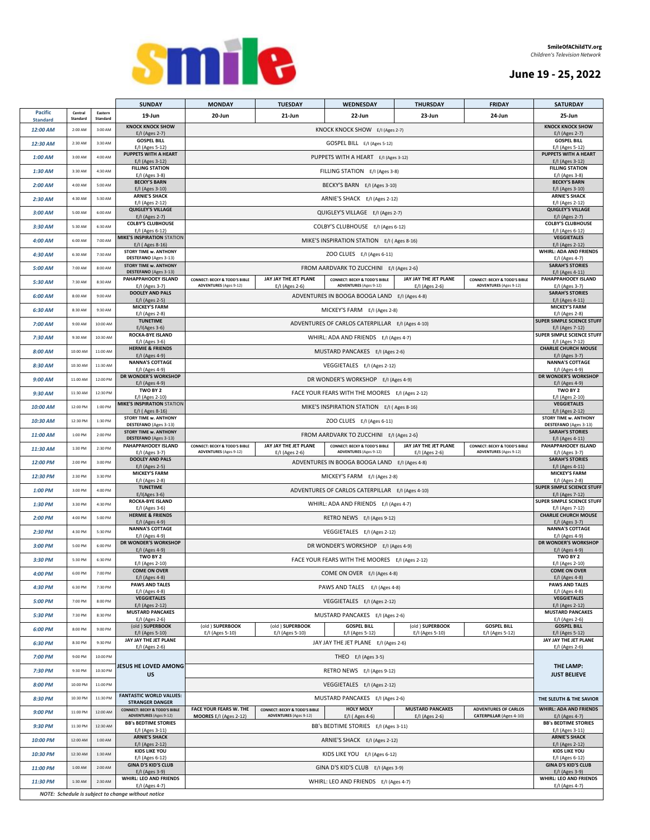

# **June 19 - 25, 2022**

|                                   |                     |                     | <b>SUNDAY</b>                                                             | <b>MONDAY</b>                                                             | <b>TUESDAY</b>                                                            | WEDNESDAY                                                                            | <b>THURSDAY</b>                           | <b>FRIDAY</b>                                                             | <b>SATURDAY</b>                                      |  |  |
|-----------------------------------|---------------------|---------------------|---------------------------------------------------------------------------|---------------------------------------------------------------------------|---------------------------------------------------------------------------|--------------------------------------------------------------------------------------|-------------------------------------------|---------------------------------------------------------------------------|------------------------------------------------------|--|--|
| <b>Pacific</b><br><b>Standard</b> | Central<br>Standard | Eastern<br>Standard | 19-Jun                                                                    | 20-Jun                                                                    | 21-Jun                                                                    | 22-Jun                                                                               | 23-Jun                                    | 24-Jun                                                                    | 25-Jun                                               |  |  |
| 12:00 AM                          | 2:00 AM             | 3:00 AM             | <b>KNOCK KNOCK SHOW</b><br>E/I (Ages 2-7)                                 |                                                                           |                                                                           | KNOCK KNOCK SHOW E/I (Ages 2-7)                                                      |                                           |                                                                           | <b>KNOCK KNOCK SHOW</b><br>E/I (Ages 2-7)            |  |  |
| 12:30 AM                          | 2:30 AM             | 3:30 AM             | <b>GOSPEL BILL</b>                                                        |                                                                           | GOSPEL BILL E/I (Ages 5-12)                                               |                                                                                      |                                           |                                                                           |                                                      |  |  |
| $1:00$ AM                         | 3:00 AM             | 4:00 AM             | E/I (Ages 5-12)<br>PUPPETS WITH A HEART                                   |                                                                           | PUPPETS WITH A HEART E/I (Ages 3-12)                                      |                                                                                      |                                           |                                                                           |                                                      |  |  |
| $1:30$ AM                         | 3:30 AM             | 4:30 AM             | E/I (Ages 3-12)<br><b>FILLING STATION</b>                                 |                                                                           |                                                                           | FILLING STATION E/I (Ages 3-8)                                                       |                                           |                                                                           | E/I (Ages 3-12)<br><b>FILLING STATION</b>            |  |  |
| $2:00$ AM                         | 4:00 AM             | 5:00 AM             | E/I (Ages 3-8)<br><b>BECKY'S BARN</b>                                     |                                                                           |                                                                           |                                                                                      |                                           |                                                                           | E/I (Ages 3-8)<br><b>BECKY'S BARN</b>                |  |  |
|                                   |                     |                     | E/I (Ages 3-10)<br><b>ARNIE'S SHACK</b>                                   |                                                                           | BECKY'S BARN E/I (Ages 3-10)                                              |                                                                                      |                                           |                                                                           |                                                      |  |  |
| $2:30$ AM                         | 4:30 AM             | 5:30 AM             | E/I (Ages 2-12)<br><b>QUIGLEY'S VILLAGE</b>                               |                                                                           |                                                                           | ARNIE'S SHACK E/I (Ages 2-12)                                                        |                                           |                                                                           | E/I (Ages 2-12)<br><b>QUIGLEY'S VILLAGE</b>          |  |  |
| 3:00 AM                           | 5:00 AM             | 6:00 AM             | E/I (Ages 2-7)<br><b>COLBY'S CLUBHOUSE</b>                                |                                                                           |                                                                           | QUIGLEY'S VILLAGE E/I (Ages 2-7)                                                     |                                           |                                                                           | E/I (Ages 2-7)<br><b>COLBY'S CLUBHOUSE</b>           |  |  |
| 3:30 AM                           | 5:30 AM             | 6:30 AM             | E/I (Ages 6-12)<br><b>MIKE'S INSPIRATION STATION</b>                      |                                                                           |                                                                           | COLBY'S CLUBHOUSE E/I (Ages 6-12)                                                    |                                           |                                                                           | E/I (Ages 6-12)<br><b>VEGGIETALES</b>                |  |  |
| 4:00 AM                           | 6:00 AM             | 7:00 AM             | E/I (Ages 8-16)                                                           |                                                                           |                                                                           | MIKE'S INSPIRATION STATION E/I (Ages 8-16)                                           |                                           |                                                                           | E/I (Ages 2-12)<br><b>WHIRL: ADA AND FRIENDS</b>     |  |  |
| 4:30 AM                           | 6:30 AM             | 7:30 AM             | <b>STORY TIME w. ANTHONY</b><br>DESTEFANO (Ages 3-13)                     |                                                                           |                                                                           | ZOO CLUES E/I (Ages 6-11)                                                            |                                           |                                                                           | E/I (Ages 4-7)                                       |  |  |
| 5:00 AM                           | 7:00 AM             | 8:00 AM             | <b>STORY TIME w. ANTHONY</b><br>DESTEFANO (Ages 3-13)                     |                                                                           |                                                                           | FROM AARDVARK TO ZUCCHINI E/I (Ages 2-6)                                             |                                           |                                                                           | <b>SARAH'S STORIES</b><br>E/I (Ages 4-11)            |  |  |
| 5:30 AM                           | 7:30 AM             | 8:30 AM             | PAHAPPAHOOEY ISLAND<br>E/I (Ages 3-7)                                     | <b>CONNECT: BECKY &amp; TODD'S BIBLE</b><br><b>ADVENTURES</b> (Ages 9-12) | JAY JAY THE JET PLANE<br>E/I (Ages 2-6)                                   | <b>CONNECT: BECKY &amp; TODD'S BIBLE</b><br><b>ADVENTURES</b> (Ages 9-12)            | JAY JAY THE JET PLANE<br>E/I (Ages 2-6)   | <b>CONNECT: BECKY &amp; TODD'S BIBLE</b><br><b>ADVENTURES</b> (Ages 9-12) | PAHAPPAHOOEY ISLAND<br>E/I (Ages 3-7)                |  |  |
| 6:00 AM                           | 8:00 AM             | 9:00 AM             | <b>DOOLEY AND PALS</b><br>E/I (Ages 2-5)                                  |                                                                           |                                                                           | ADVENTURES IN BOOGA BOOGA LAND E/I (Ages 4-8)                                        |                                           |                                                                           | <b>SARAH'S STORIES</b><br>E/I (Ages 4-11)            |  |  |
| 6:30 AM                           | 8:30 AM             | 9:30 AM             | <b>MICKEY'S FARM</b><br>E/I (Ages 2-8)                                    |                                                                           |                                                                           | MICKEY'S FARM E/I (Ages 2-8)                                                         |                                           |                                                                           | <b>MICKEY'S FARM</b><br>E/I (Ages 2-8)               |  |  |
| 7:00 AM                           | 9:00 AM             | 10:00 AM            | <b>TUNETIME</b><br>$E/I(Ages 3-6)$                                        |                                                                           |                                                                           | ADVENTURES OF CARLOS CATERPILLAR E/I (Ages 4-10)                                     |                                           |                                                                           | <b>SUPER SIMPLE SCIENCE STUFF</b><br>E/I (Ages 7-12) |  |  |
| 7:30 AM                           | 9:30 AM             | 10:30 AM            | <b>ROCKA-BYE ISLAND</b>                                                   |                                                                           |                                                                           | WHIRL: ADA AND FRIENDS E/I (Ages 4-7)                                                |                                           |                                                                           | <b>SUPER SIMPLE SCIENCE STUFF</b>                    |  |  |
| 8:00 AM                           | 10:00 AM            | 11:00 AM            | E/I (Ages 3-6)<br><b>HERMIE &amp; FRIENDS</b>                             |                                                                           |                                                                           | MUSTARD PANCAKES E/I (Ages 2-6)                                                      |                                           |                                                                           | E/I (Ages 7-12)<br><b>CHARLIE CHURCH MOUSE</b>       |  |  |
| 8:30 AM                           | 10:30 AM            | 11:30 AM            | E/I (Ages 4-9)<br><b>NANNA'S COTTAGE</b>                                  |                                                                           |                                                                           | VEGGIETALES E/I (Ages 2-12)                                                          |                                           |                                                                           | E/I (Ages 3-7)<br><b>NANNA'S COTTAGE</b>             |  |  |
| 9:00 AM                           | 11:00 AM            | 12:00 PM            | E/I (Ages 4-9)<br>DR WONDER'S WORKSHOP                                    |                                                                           |                                                                           | DR WONDER'S WORKSHOP E/I (Ages 4-9)                                                  |                                           |                                                                           | E/I (Ages 4-9)<br>DR WONDER'S WORKSHOP               |  |  |
| $9:30$ AM                         | 11:30 AM            | 12:30 PM            | E/I (Ages 4-9)<br>TWO BY 2                                                |                                                                           |                                                                           |                                                                                      |                                           |                                                                           | E/I (Ages 4-9)<br>TWO BY 2                           |  |  |
|                                   |                     |                     | E/I (Ages 2-10)<br><b>MIKE'S INSPIRATION STATION</b>                      |                                                                           |                                                                           | FACE YOUR FEARS WITH THE MOORES E/I (Ages 2-12)                                      |                                           |                                                                           | E/I (Ages 2-10)<br><b>VEGGIETALES</b>                |  |  |
| 10:00 AM                          | 12:00 PM            | 1:00 PM             | E/I (Ages 8-16)<br><b>STORY TIME w. ANTHONY</b>                           |                                                                           |                                                                           | MIKE'S INSPIRATION STATION E/I (Ages 8-16)                                           |                                           |                                                                           | E/I (Ages 2-12)<br><b>STORY TIME w. ANTHONY</b>      |  |  |
| 10:30 AM                          | 12:30 PM            | 1:30 PM             | DESTEFANO (Ages 3-13)<br><b>STORY TIME w. ANTHONY</b>                     |                                                                           |                                                                           | ZOO CLUES E/I (Ages 6-11)                                                            |                                           |                                                                           | DESTEFANO (Ages 3-13)<br><b>SARAH'S STORIES</b>      |  |  |
| 11:00 AM                          | 1:00 PM             | 2:00 PM             | DESTEFANO (Ages 3-13)<br>PAHAPPAHOOEY ISLAND                              |                                                                           | JAY JAY THE JET PLANE                                                     | FROM AARDVARK TO ZUCCHINI E/I (Ages 2-6)<br><b>CONNECT: BECKY &amp; TODD'S BIBLE</b> | JAY JAY THE JET PLANE                     |                                                                           | E/I (Ages 4-11)<br>PAHAPPAHOOEY ISLAND               |  |  |
| 11:30 AM                          | 1:30 PM             | 2:30 PM             | E/I (Ages 3-7)                                                            | <b>CONNECT: BECKY &amp; TODD'S BIBLE</b><br><b>ADVENTURES</b> (Ages 9-12) | E/I (Ages 2-6)                                                            | <b>ADVENTURES</b> (Ages 9-12)                                                        | E/I (Ages 2-6)                            | <b>CONNECT: BECKY &amp; TODD'S BIBLE</b><br><b>ADVENTURES</b> (Ages 9-12) | E/I (Ages 3-7)                                       |  |  |
| 12:00 PM                          | 2:00 PM             | 3:00 PM             | <b>DOOLEY AND PALS</b><br>E/I (Ages 2-5)                                  |                                                                           | <b>SARAH'S STORIES</b><br>E/I (Ages 4-11)                                 |                                                                                      |                                           |                                                                           |                                                      |  |  |
| 12:30 PM                          | 2:30 PM             | 3:30 PM             | <b>MICKEY'S FARM</b><br>E/I (Ages 2-8)                                    |                                                                           | <b>MICKEY'S FARM</b><br>E/I (Ages 2-8)                                    |                                                                                      |                                           |                                                                           |                                                      |  |  |
| 1:00 PM                           | 3:00 PM             | 4:00 PM             | <b>TUNETIME</b><br>$E/I(Ages 3-6)$                                        |                                                                           | <b>SUPER SIMPLE SCIENCE STUFF</b><br>E/I (Ages 7-12)                      |                                                                                      |                                           |                                                                           |                                                      |  |  |
| 1:30 PM                           | 3:30 PM             | 4:30 PM             | <b>ROCKA-BYE ISLAND</b><br>E/I (Ages 3-6)                                 |                                                                           | SUPER SIMPLE SCIENCE STUFF<br>E/I (Ages 7-12)                             |                                                                                      |                                           |                                                                           |                                                      |  |  |
| 2:00 PM                           | 4:00 PM             | 5:00 PM             | <b>HERMIE &amp; FRIENDS</b><br>E/I (Ages 4-9)                             |                                                                           | <b>CHARLIE CHURCH MOUSE</b><br>E/I (Ages 3-7)                             |                                                                                      |                                           |                                                                           |                                                      |  |  |
| 2:30 PM                           | 4:30 PM             | 5:30 PM             | <b>NANNA'S COTTAGE</b><br>E/I (Ages 4-9)                                  |                                                                           | <b>NANNA'S COTTAGE</b><br>E/I (Ages 4-9)                                  |                                                                                      |                                           |                                                                           |                                                      |  |  |
| 3:00 PM                           | 5:00 PM             | 6:00 PM             | DR WONDER'S WORKSHOP<br>E/I (Ages 4-9)                                    |                                                                           | <b>DR WONDER'S WORKSHOP</b><br>E/I (Ages 4-9)                             |                                                                                      |                                           |                                                                           |                                                      |  |  |
| 3:30 PM                           | 5:30 PM             | 6:30 PM             | TWO BY 2<br>E/I (Ages 2-10)                                               |                                                                           | TWO BY 2<br>E/I (Ages 2-10)                                               |                                                                                      |                                           |                                                                           |                                                      |  |  |
| 4:00 PM                           | 6:00 PM             | 7:00 PM             | <b>COME ON OVER</b><br>E/I (Ages 4-8)                                     |                                                                           |                                                                           | COME ON OVER E/I (Ages 4-8)                                                          |                                           |                                                                           | <b>COME ON OVER</b><br>E/I (Ages 4-8)                |  |  |
| 4:30 PM                           | 6:30 PM             | 7:30 PM             | <b>PAWS AND TALES</b>                                                     |                                                                           |                                                                           | PAWS AND TALES E/I (Ages 4-8)                                                        |                                           |                                                                           | <b>PAWS AND TALES</b>                                |  |  |
| 5:00 PM                           | 7:00 PM             | 8:00 PM             | E/I (Ages 4-8)<br><b>VEGGIETALES</b>                                      |                                                                           |                                                                           | VEGGIETALES E/I (Ages 2-12)                                                          |                                           |                                                                           | E/I (Ages 4-8)<br><b>VEGGIETALES</b>                 |  |  |
| 5:30 PM                           | 7:30 PM             | 8:30 PM             | E/I (Ages 2-12)<br><b>MUSTARD PANCAKES</b>                                |                                                                           |                                                                           | MUSTARD PANCAKES E/I (Ages 2-6)                                                      |                                           |                                                                           | E/I (Ages 2-12)<br><b>MUSTARD PANCAKES</b>           |  |  |
| 6:00 PM                           | 8:00 PM             | 9:00 PM             | E/I (Ages 2-6)<br>(old) SUPERBOOK                                         | (old) SUPERBOOK                                                           | (old ) SUPERBOOK                                                          | <b>GOSPEL BILL</b>                                                                   | (old ) SUPERBOOK                          | <b>GOSPEL BILL</b>                                                        | E/I (Ages 2-6)<br><b>GOSPEL BILL</b>                 |  |  |
|                                   | 8:30 PM             | 9:30 PM             | E/I (Ages 5-10)<br>JAY JAY THE JET PLANE                                  | E/I (Ages 5-10)                                                           | E/I (Ages 5-10)                                                           | E/I (Ages 5-12)                                                                      | E/I (Ages 5-10)                           | E/I (Ages 5-12)                                                           | E/I (Ages 5-12)<br>JAY JAY THE JET PLANE             |  |  |
| 6:30 PM                           |                     |                     | E/I (Ages 2-6)                                                            |                                                                           |                                                                           | JAY JAY THE JET PLANE E/I (Ages 2-6)                                                 |                                           |                                                                           | E/I (Ages 2-6)                                       |  |  |
| 7:00 PM                           | 9:00 PM             | 10:00 PM            | <b>JESUS HE LOVED AMONG</b>                                               |                                                                           |                                                                           | THEO E/I (Ages 3-5)                                                                  |                                           |                                                                           | THE LAMP:                                            |  |  |
| 7:30 PM                           | 9:30 PM             | 10:30 PM            | <b>US</b>                                                                 |                                                                           |                                                                           | RETRO NEWS E/I (Ages 9-12)                                                           |                                           |                                                                           | <b>JUST BELIEVE</b>                                  |  |  |
| 8:00 PM                           | 10:00 PM            | 11:00 PM            |                                                                           |                                                                           |                                                                           | VEGGIETALES E/I (Ages 2-12)                                                          |                                           |                                                                           |                                                      |  |  |
| 8:30 PM                           | 10:30 PM            | 11:30 PM            | <b>FANTASTIC WORLD VALUES:</b><br><b>STRANGER DANGER</b>                  |                                                                           |                                                                           | MUSTARD PANCAKES E/I (Ages 2-6)                                                      |                                           |                                                                           | THE SLEUTH & THE SAVIOR                              |  |  |
| 9:00 PM                           | 11:00 PM            | 12:00 AM            | <b>CONNECT: BECKY &amp; TODD'S BIBLE</b><br><b>ADVENTURES</b> (Ages 9-12) | FACE YOUR FEARS W. THE<br>MOORES E/I (Ages 2-12)                          | <b>CONNECT: BECKY &amp; TODD'S BIBLE</b><br><b>ADVENTURES</b> (Ages 9-12) | <b>HOLY MOLY</b><br>E/I (Ages 4-6)                                                   | <b>MUSTARD PANCAKES</b><br>E/I (Ages 2-6) | <b>ADVENTURES OF CARLOS</b><br><b>CATERPILLAR (Ages 4-10)</b>             | <b>WHIRL: ADA AND FRIENDS</b><br>E/I (Ages 4-7)      |  |  |
| 9:30 PM                           | 11:30 PM            | 12:30 AM            | <b>BB's BEDTIME STORIES</b><br>E/I (Ages 3-11)                            |                                                                           |                                                                           | BB's BEDTIME STORIES E/I (Ages 3-11)                                                 |                                           |                                                                           | <b>BB's BEDTIME STORIES</b><br>E/I (Ages 3-11)       |  |  |
| 10:00 PM                          | 12:00 AM            | 1:00 AM             | <b>ARNIE'S SHACK</b><br>E/I (Ages 2-12)                                   |                                                                           |                                                                           | ARNIE'S SHACK E/I (Ages 2-12)                                                        |                                           |                                                                           | <b>ARNIE'S SHACK</b><br>E/I (Ages 2-12)              |  |  |
| 10:30 PM                          | 12:30 AM            | 1:30 AM             | <b>KIDS LIKE YOU</b><br>E/I (Ages 6-12)                                   |                                                                           |                                                                           | KIDS LIKE YOU E/I (Ages 6-12)                                                        |                                           |                                                                           | <b>KIDS LIKE YOU</b><br>E/I (Ages 6-12)              |  |  |
| 11:00 PM                          | 1:00 AM             | 2:00 AM             | <b>GINA D'S KID'S CLUB</b><br>E/I (Ages 3-9)                              |                                                                           |                                                                           | GINA D'S KID'S CLUB E/I (Ages 3-9)                                                   |                                           |                                                                           | <b>GINA D'S KID'S CLUB</b><br>E/I (Ages 3-9)         |  |  |
| 11:30 PM                          | 1:30 AM             | 2:30 AM             | <b>WHIRL: LEO AND FRIENDS</b>                                             |                                                                           |                                                                           | WHIRL: LEO AND FRIENDS E/I (Ages 4-7)                                                |                                           |                                                                           | WHIRL: LEO AND FRIENDS<br>E/I (Ages 4-7)             |  |  |
|                                   |                     |                     | E/I (Ages 4-7)<br>NOTE: Schedule is subject to change without notice      |                                                                           |                                                                           |                                                                                      |                                           |                                                                           |                                                      |  |  |